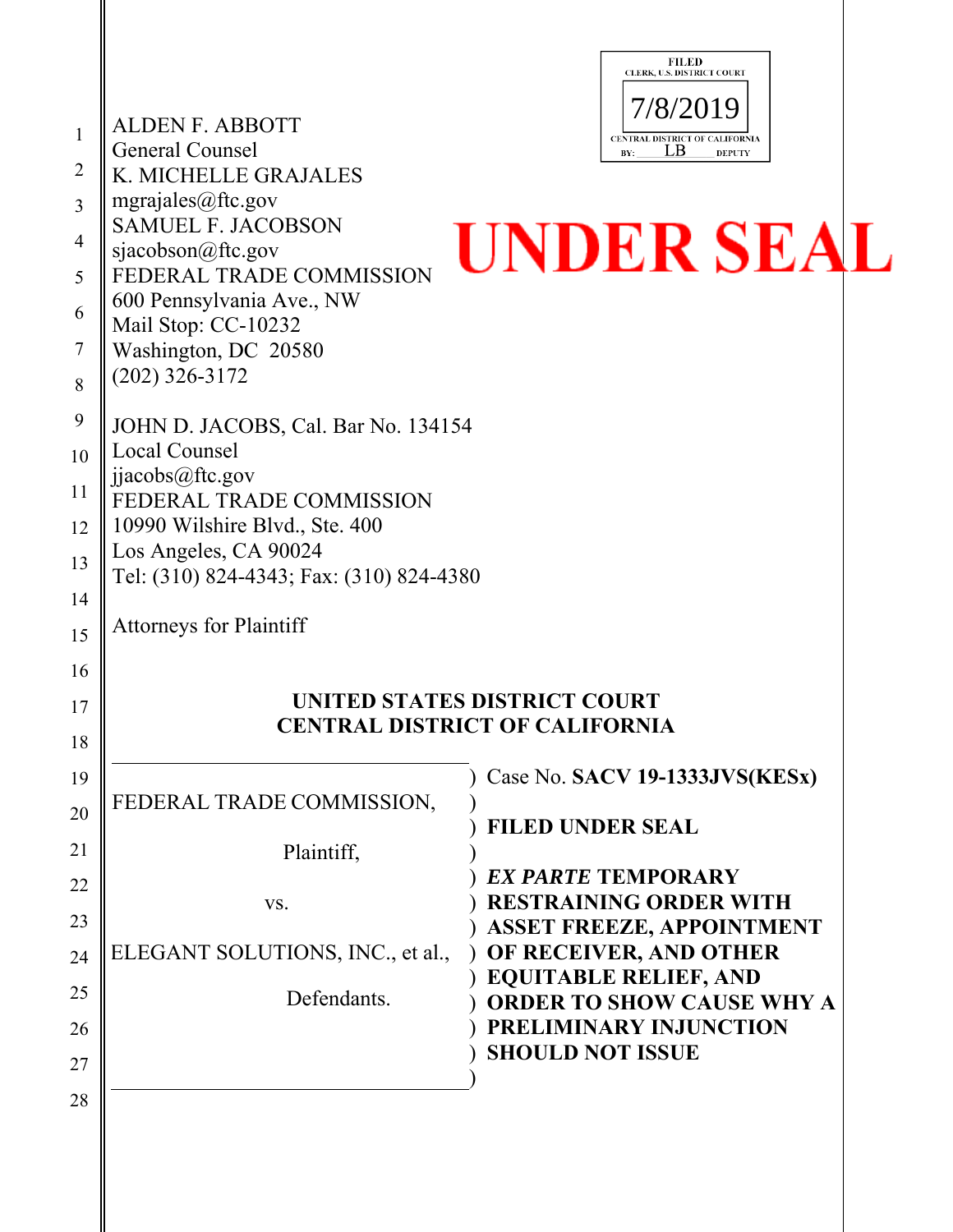|                |                                                  | <b>FILED</b><br>CLERK, U.S. DISTRICT COURT                   |  |
|----------------|--------------------------------------------------|--------------------------------------------------------------|--|
| 1              | <b>ALDEN F. ABBOTT</b>                           | 7/8/2019                                                     |  |
|                | General Counsel                                  | CENTRAL DISTRICT OF CALIFORNIA<br>LВ<br>BY:<br><b>DEPUTY</b> |  |
| $\overline{2}$ | K. MICHELLE GRAJALES                             |                                                              |  |
| 3              | mgrajales@ftc.gov<br><b>SAMUEL F. JACOBSON</b>   |                                                              |  |
| $\overline{4}$ | sjacobson@ftc.gov                                | UNDER SEAL                                                   |  |
| 5              | FEDERAL TRADE COMMISSION                         |                                                              |  |
| 6              | 600 Pennsylvania Ave., NW<br>Mail Stop: CC-10232 |                                                              |  |
| 7              | Washington, DC 20580                             |                                                              |  |
| 8              | $(202)$ 326-3172                                 |                                                              |  |
| 9              | JOHN D. JACOBS, Cal. Bar No. 134154              |                                                              |  |
| 10             | Local Counsel                                    |                                                              |  |
| 11             | jjacobs@ftc.gov<br>FEDERAL TRADE COMMISSION      |                                                              |  |
| 12             | 10990 Wilshire Blvd., Ste. 400                   |                                                              |  |
| 13             | Los Angeles, CA 90024                            |                                                              |  |
| 14             | Tel: (310) 824-4343; Fax: (310) 824-4380         |                                                              |  |
| 15             | <b>Attorneys for Plaintiff</b>                   |                                                              |  |
| 16             |                                                  |                                                              |  |
| 17             |                                                  | UNITED STATES DISTRICT COURT                                 |  |
| 18             |                                                  | <b>CENTRAL DISTRICT OF CALIFORNIA</b>                        |  |
| 19             |                                                  | Case No. SACV 19-1333JVS(KESx)                               |  |
|                | FEDERAL TRADE COMMISSION,                        |                                                              |  |
| 20             |                                                  | <b>FILED UNDER SEAL</b>                                      |  |
| 21             | Plaintiff,                                       | <b>EX PARTE TEMPORARY</b>                                    |  |
| 22             | VS.                                              | <b>RESTRAINING ORDER WITH</b>                                |  |
| 23             |                                                  | <b>ASSET FREEZE, APPOINTMENT</b>                             |  |
| 24             | ELEGANT SOLUTIONS, INC., et al.,                 | OF RECEIVER, AND OTHER<br><b>EQUITABLE RELIEF, AND</b>       |  |
| 25             | Defendants.                                      | <b>ORDER TO SHOW CAUSE WHY A</b>                             |  |
| 26             |                                                  | PRELIMINARY INJUNCTION                                       |  |
| 27             |                                                  | <b>SHOULD NOT ISSUE</b>                                      |  |
| 28             |                                                  |                                                              |  |
|                |                                                  |                                                              |  |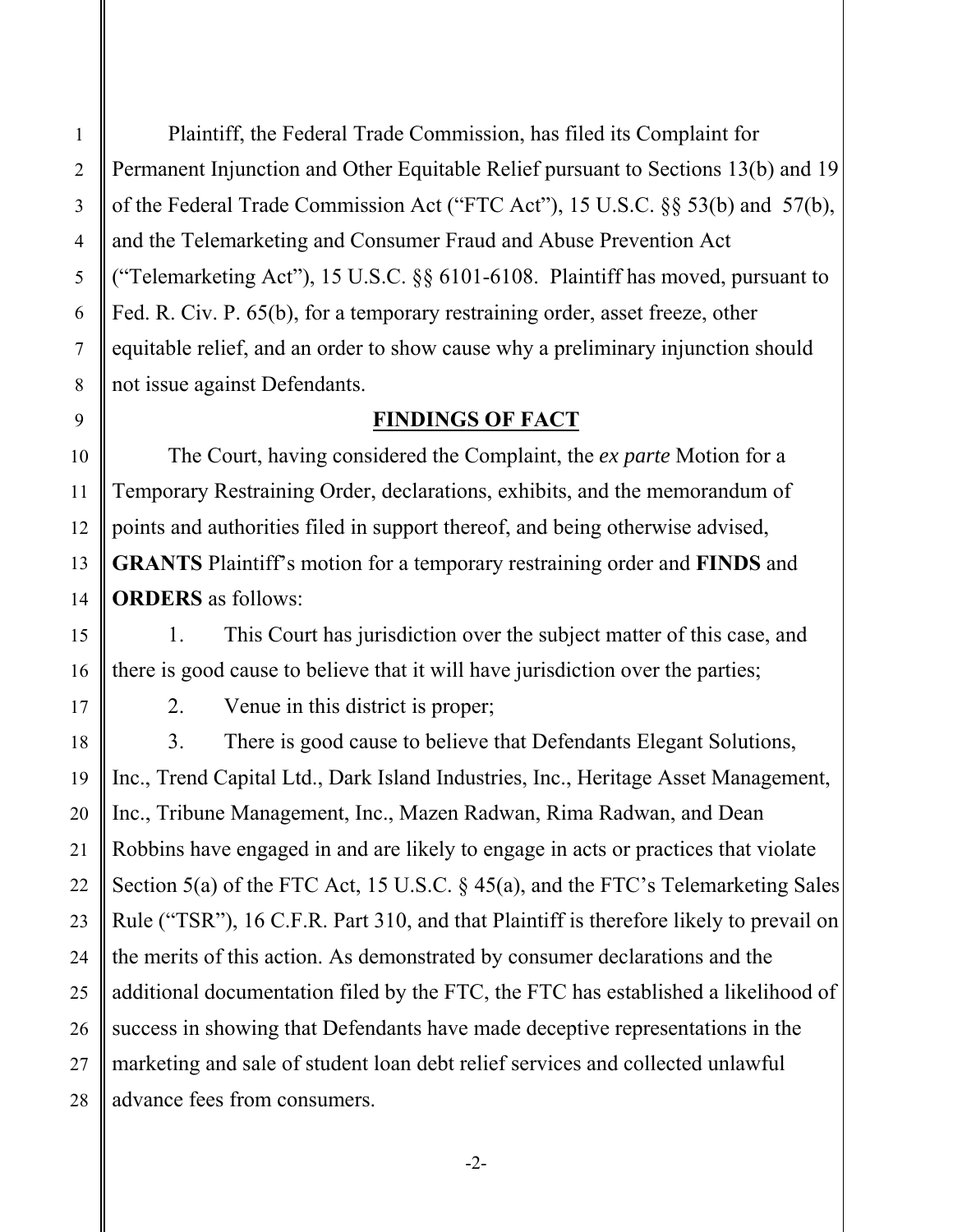Plaintiff, the Federal Trade Commission, has filed its Complaint for Permanent Injunction and Other Equitable Relief pursuant to Sections 13(b) and 19 of the Federal Trade Commission Act ("FTC Act"), 15 U.S.C. §§ 53(b) and 57(b), and the Telemarketing and Consumer Fraud and Abuse Prevention Act ("Telemarketing Act"), 15 U.S.C. §§ 6101-6108. Plaintiff has moved, pursuant to Fed. R. Civ. P. 65(b), for a temporary restraining order, asset freeze, other equitable relief, and an order to show cause why a preliminary injunction should not issue against Defendants.

#### **FINDINGS OF FACT**

The Court, having considered the Complaint, the *ex parte* Motion for a Temporary Restraining Order, declarations, exhibits, and the memorandum of points and authorities filed in support thereof, and being otherwise advised, **GRANTS** Plaintiff's motion for a temporary restraining order and **FINDS** and **ORDERS** as follows:

1. This Court has jurisdiction over the subject matter of this case, and there is good cause to believe that it will have jurisdiction over the parties;

2. Venue in this district is proper;

3. There is good cause to believe that Defendants Elegant Solutions, Inc., Trend Capital Ltd., Dark Island Industries, Inc., Heritage Asset Management, Inc., Tribune Management, Inc., Mazen Radwan, Rima Radwan, and Dean Robbins have engaged in and are likely to engage in acts or practices that violate Section 5(a) of the FTC Act, 15 U.S.C. § 45(a), and the FTC's Telemarketing Sales Rule ("TSR"), 16 C.F.R. Part 310, and that Plaintiff is therefore likely to prevail on the merits of this action. As demonstrated by consumer declarations and the additional documentation filed by the FTC, the FTC has established a likelihood of success in showing that Defendants have made deceptive representations in the marketing and sale of student loan debt relief services and collected unlawful advance fees from consumers.

1

2

3

4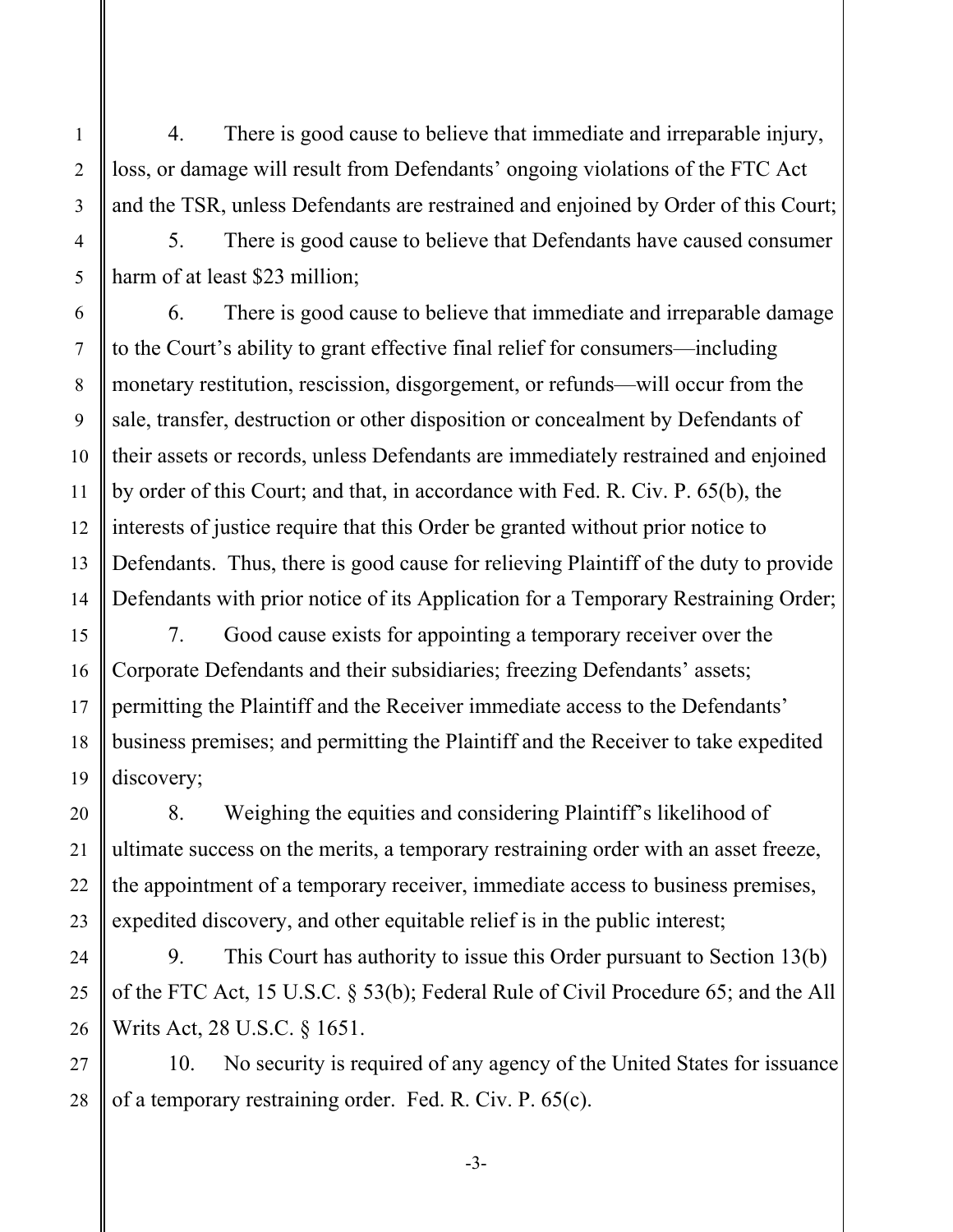4. There is good cause to believe that immediate and irreparable injury, loss, or damage will result from Defendants' ongoing violations of the FTC Act and the TSR, unless Defendants are restrained and enjoined by Order of this Court;

5. There is good cause to believe that Defendants have caused consumer harm of at least \$23 million;

6. There is good cause to believe that immediate and irreparable damage to the Court's ability to grant effective final relief for consumers—including monetary restitution, rescission, disgorgement, or refunds—will occur from the sale, transfer, destruction or other disposition or concealment by Defendants of their assets or records, unless Defendants are immediately restrained and enjoined by order of this Court; and that, in accordance with Fed. R. Civ. P. 65(b), the interests of justice require that this Order be granted without prior notice to Defendants. Thus, there is good cause for relieving Plaintiff of the duty to provide Defendants with prior notice of its Application for a Temporary Restraining Order;

7. Good cause exists for appointing a temporary receiver over the Corporate Defendants and their subsidiaries; freezing Defendants' assets; permitting the Plaintiff and the Receiver immediate access to the Defendants' business premises; and permitting the Plaintiff and the Receiver to take expedited discovery;

8. Weighing the equities and considering Plaintiff's likelihood of ultimate success on the merits, a temporary restraining order with an asset freeze, the appointment of a temporary receiver, immediate access to business premises, expedited discovery, and other equitable relief is in the public interest;

9. This Court has authority to issue this Order pursuant to Section 13(b) of the FTC Act, 15 U.S.C. § 53(b); Federal Rule of Civil Procedure 65; and the All Writs Act, 28 U.S.C. § 1651.

10. No security is required of any agency of the United States for issuance of a temporary restraining order. Fed. R. Civ. P. 65(c).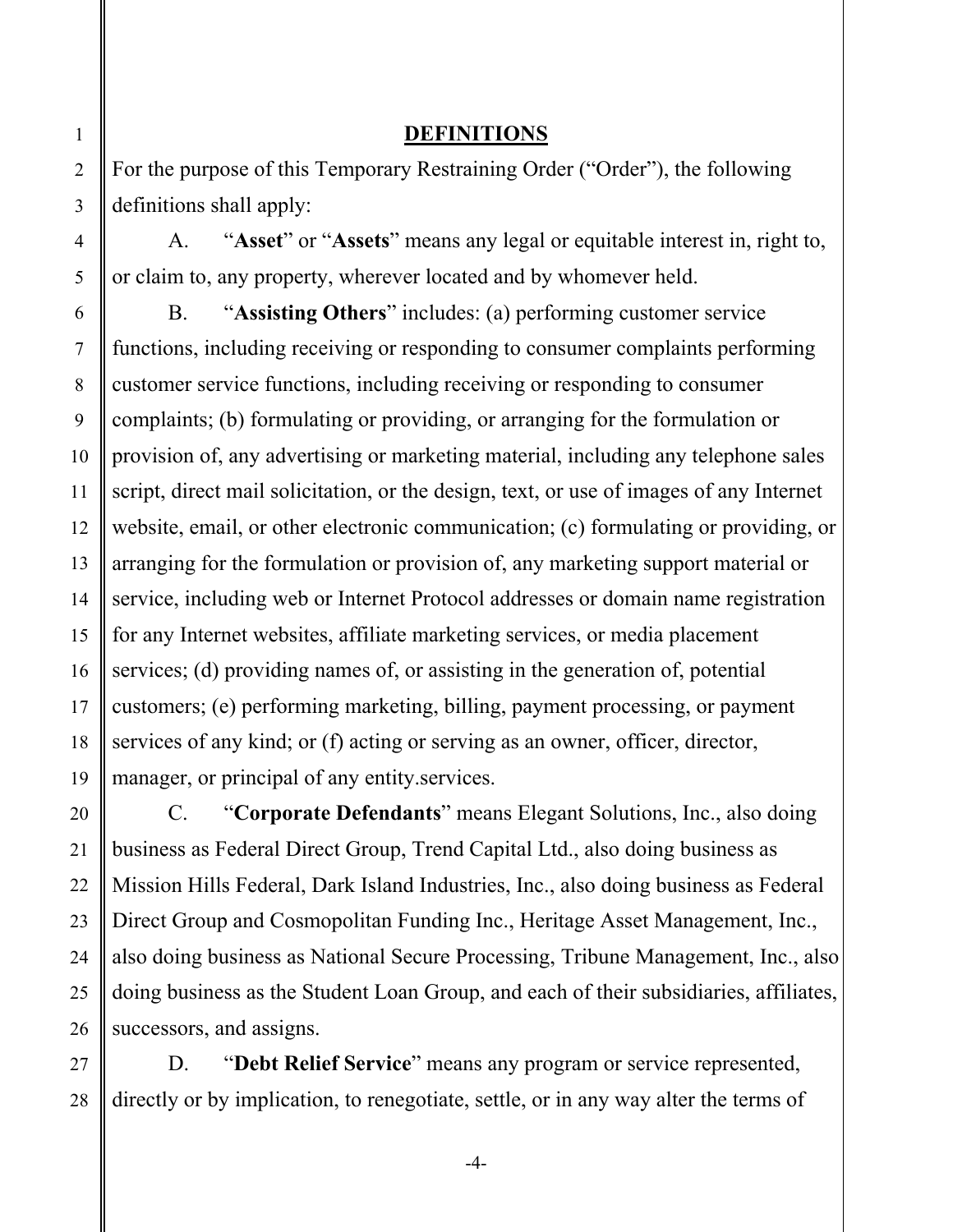#### **DEFINITIONS**

For the purpose of this Temporary Restraining Order ("Order"), the following definitions shall apply:

A. "**Asset**" or "**Assets**" means any legal or equitable interest in, right to, or claim to, any property, wherever located and by whomever held.

B. "**Assisting Others**" includes: (a) performing customer service functions, including receiving or responding to consumer complaints performing customer service functions, including receiving or responding to consumer complaints; (b) formulating or providing, or arranging for the formulation or provision of, any advertising or marketing material, including any telephone sales script, direct mail solicitation, or the design, text, or use of images of any Internet website, email, or other electronic communication; (c) formulating or providing, or arranging for the formulation or provision of, any marketing support material or service, including web or Internet Protocol addresses or domain name registration for any Internet websites, affiliate marketing services, or media placement services; (d) providing names of, or assisting in the generation of, potential customers; (e) performing marketing, billing, payment processing, or payment services of any kind; or (f) acting or serving as an owner, officer, director, manager, or principal of any entity.services.

C. "**Corporate Defendants**" means Elegant Solutions, Inc., also doing business as Federal Direct Group, Trend Capital Ltd., also doing business as Mission Hills Federal, Dark Island Industries, Inc., also doing business as Federal Direct Group and Cosmopolitan Funding Inc., Heritage Asset Management, Inc., also doing business as National Secure Processing, Tribune Management, Inc., also doing business as the Student Loan Group, and each of their subsidiaries, affiliates, successors, and assigns.

D. "**Debt Relief Service**" means any program or service represented, directly or by implication, to renegotiate, settle, or in any way alter the terms of

-4-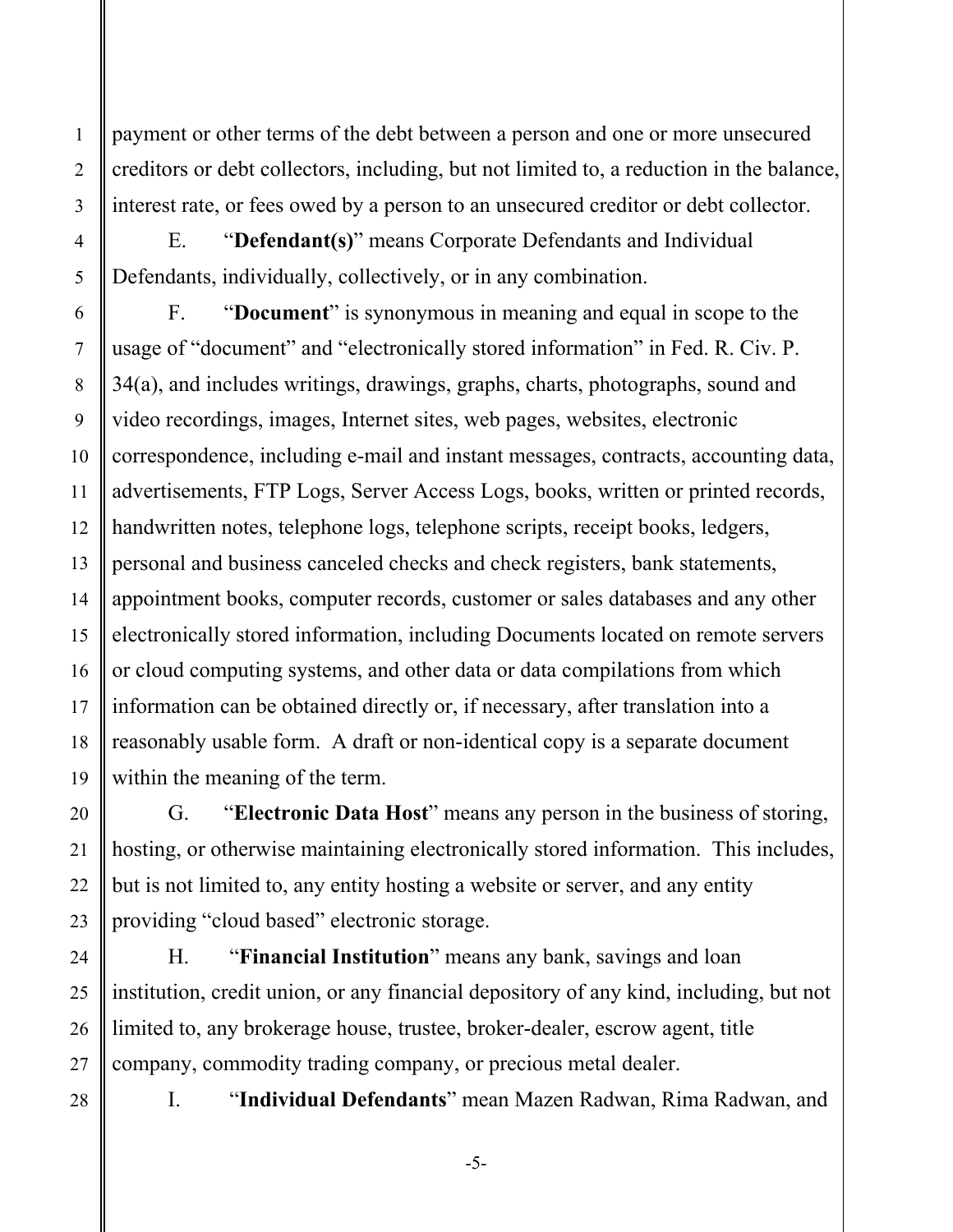payment or other terms of the debt between a person and one or more unsecured creditors or debt collectors, including, but not limited to, a reduction in the balance, interest rate, or fees owed by a person to an unsecured creditor or debt collector.

E. "**Defendant(s)**" means Corporate Defendants and Individual Defendants, individually, collectively, or in any combination.

F. "**Document**" is synonymous in meaning and equal in scope to the usage of "document" and "electronically stored information" in Fed. R. Civ. P. 34(a), and includes writings, drawings, graphs, charts, photographs, sound and video recordings, images, Internet sites, web pages, websites, electronic correspondence, including e-mail and instant messages, contracts, accounting data, advertisements, FTP Logs, Server Access Logs, books, written or printed records, handwritten notes, telephone logs, telephone scripts, receipt books, ledgers, personal and business canceled checks and check registers, bank statements, appointment books, computer records, customer or sales databases and any other electronically stored information, including Documents located on remote servers or cloud computing systems, and other data or data compilations from which information can be obtained directly or, if necessary, after translation into a reasonably usable form. A draft or non-identical copy is a separate document within the meaning of the term.

G. "**Electronic Data Host**" means any person in the business of storing, hosting, or otherwise maintaining electronically stored information. This includes, but is not limited to, any entity hosting a website or server, and any entity providing "cloud based" electronic storage.

H. "**Financial Institution**" means any bank, savings and loan institution, credit union, or any financial depository of any kind, including, but not limited to, any brokerage house, trustee, broker-dealer, escrow agent, title company, commodity trading company, or precious metal dealer.

28

1

2

3

4

5

6

7

8

9

10

11

12

13

14

15

16

17

18

19

20

21

22

23

24

25

26

27

I. "**Individual Defendants**" mean Mazen Radwan, Rima Radwan, and

-5-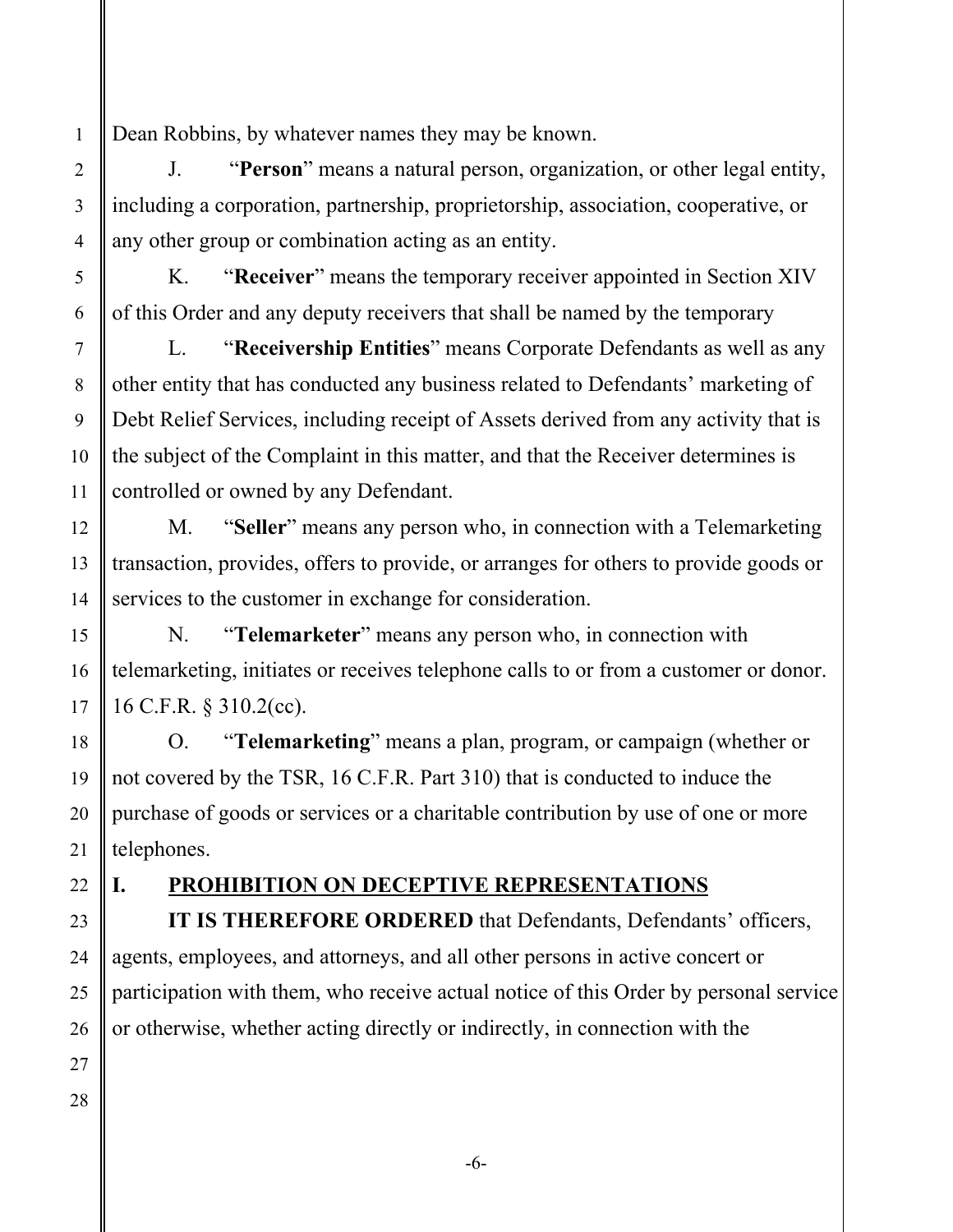Dean Robbins, by whatever names they may be known.

J. "**Person**" means a natural person, organization, or other legal entity, including a corporation, partnership, proprietorship, association, cooperative, or any other group or combination acting as an entity.

K. "**Receiver**" means the temporary receiver appointed in Section XIV of this Order and any deputy receivers that shall be named by the temporary

L. "**Receivership Entities**" means Corporate Defendants as well as any other entity that has conducted any business related to Defendants' marketing of Debt Relief Services, including receipt of Assets derived from any activity that is the subject of the Complaint in this matter, and that the Receiver determines is controlled or owned by any Defendant.

M. "**Seller**" means any person who, in connection with a Telemarketing transaction, provides, offers to provide, or arranges for others to provide goods or services to the customer in exchange for consideration.

N. "**Telemarketer**" means any person who, in connection with telemarketing, initiates or receives telephone calls to or from a customer or donor. 16 C.F.R. § 310.2(cc).

O. "**Telemarketing**" means a plan, program, or campaign (whether or not covered by the TSR, 16 C.F.R. Part 310) that is conducted to induce the purchase of goods or services or a charitable contribution by use of one or more telephones.

# **I. PROHIBITION ON DECEPTIVE REPRESENTATIONS**

**IT IS THEREFORE ORDERED** that Defendants, Defendants' officers, agents, employees, and attorneys, and all other persons in active concert or participation with them, who receive actual notice of this Order by personal service or otherwise, whether acting directly or indirectly, in connection with the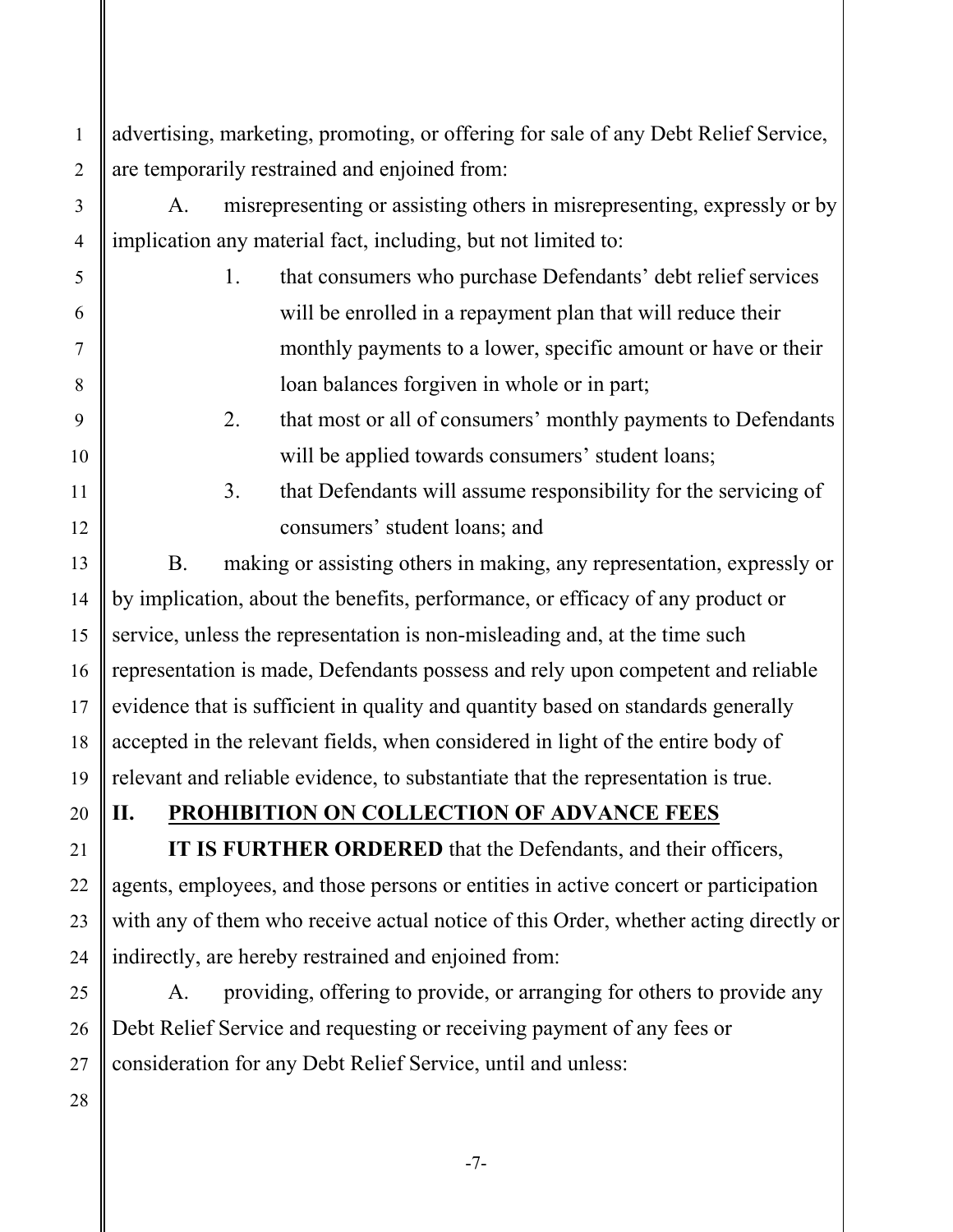advertising, marketing, promoting, or offering for sale of any Debt Relief Service, are temporarily restrained and enjoined from:

A. misrepresenting or assisting others in misrepresenting, expressly or by implication any material fact, including, but not limited to:

1. that consumers who purchase Defendants' debt relief services will be enrolled in a repayment plan that will reduce their monthly payments to a lower, specific amount or have or their loan balances forgiven in whole or in part;

# 2. that most or all of consumers' monthly payments to Defendants will be applied towards consumers' student loans;

3. that Defendants will assume responsibility for the servicing of consumers' student loans; and

B. making or assisting others in making, any representation, expressly or by implication, about the benefits, performance, or efficacy of any product or service, unless the representation is non-misleading and, at the time such representation is made, Defendants possess and rely upon competent and reliable evidence that is sufficient in quality and quantity based on standards generally accepted in the relevant fields, when considered in light of the entire body of relevant and reliable evidence, to substantiate that the representation is true.

20

1

2

3

4

5

6

7

8

9

10

11

12

13

14

15

16

17

18

19

21

22

23

24

25

# **II. PROHIBITION ON COLLECTION OF ADVANCE FEES**

**IT IS FURTHER ORDERED** that the Defendants, and their officers, agents, employees, and those persons or entities in active concert or participation with any of them who receive actual notice of this Order, whether acting directly or indirectly, are hereby restrained and enjoined from:

A. providing, offering to provide, or arranging for others to provide any Debt Relief Service and requesting or receiving payment of any fees or consideration for any Debt Relief Service, until and unless:

 26 27 28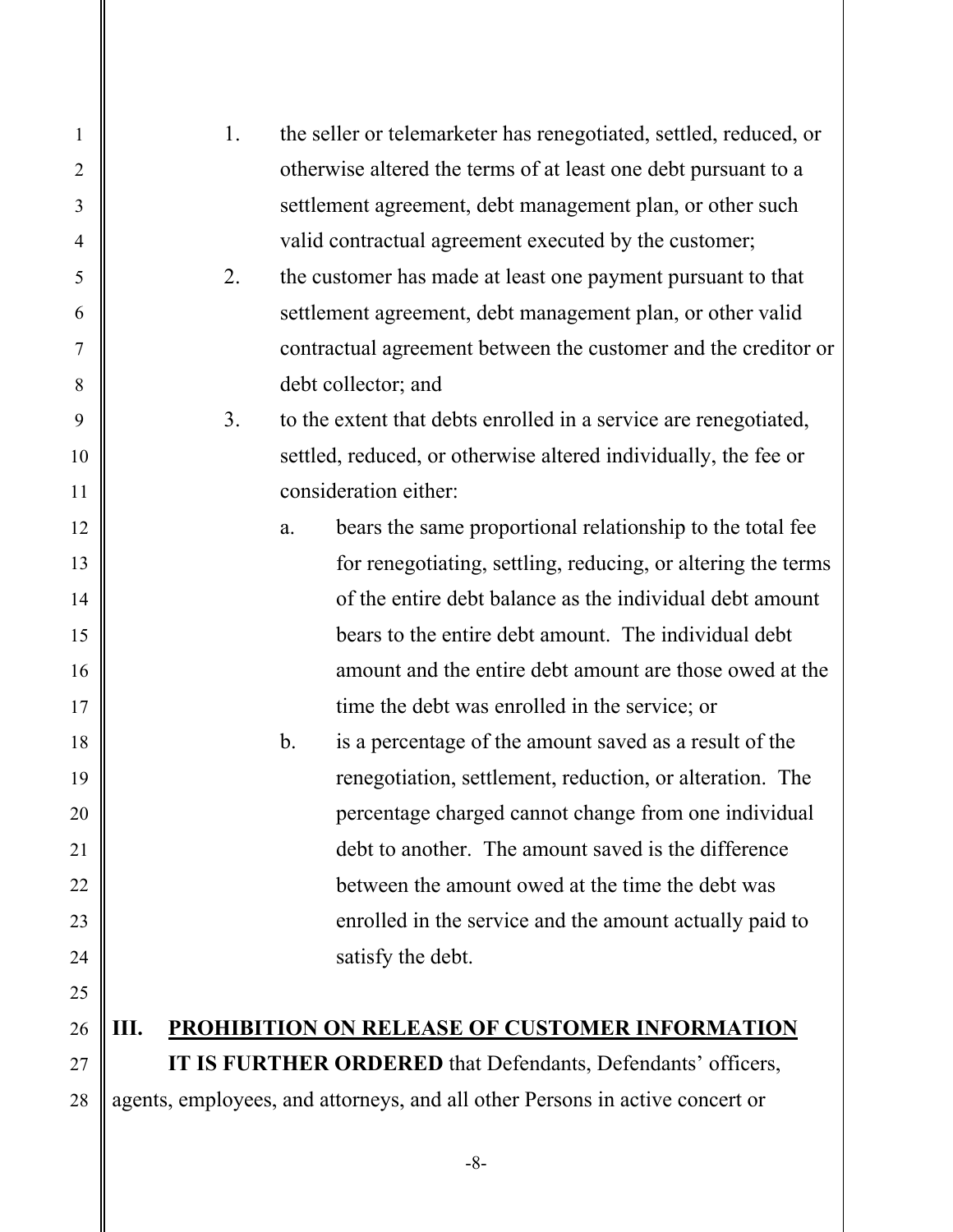| $\mathbf{1}$   | 1.                                                                           | the seller or telemarketer has renegotiated, settled, reduced, or |  |
|----------------|------------------------------------------------------------------------------|-------------------------------------------------------------------|--|
| $\overline{2}$ |                                                                              | otherwise altered the terms of at least one debt pursuant to a    |  |
| 3              |                                                                              | settlement agreement, debt management plan, or other such         |  |
| $\overline{4}$ |                                                                              | valid contractual agreement executed by the customer;             |  |
| 5              | 2.                                                                           | the customer has made at least one payment pursuant to that       |  |
| 6              |                                                                              | settlement agreement, debt management plan, or other valid        |  |
| 7              |                                                                              | contractual agreement between the customer and the creditor or    |  |
| 8              |                                                                              | debt collector; and                                               |  |
| 9              | 3.                                                                           | to the extent that debts enrolled in a service are renegotiated,  |  |
| 10             |                                                                              | settled, reduced, or otherwise altered individually, the fee or   |  |
| 11             |                                                                              | consideration either:                                             |  |
| 12             | a.                                                                           | bears the same proportional relationship to the total fee         |  |
| 13             |                                                                              | for renegotiating, settling, reducing, or altering the terms      |  |
| 14             |                                                                              | of the entire debt balance as the individual debt amount          |  |
| 15             |                                                                              | bears to the entire debt amount. The individual debt              |  |
| 16             |                                                                              | amount and the entire debt amount are those owed at the           |  |
| 17             |                                                                              | time the debt was enrolled in the service; or                     |  |
| 18             | $\mathbf b$ .                                                                | is a percentage of the amount saved as a result of the            |  |
| 19             |                                                                              | renegotiation, settlement, reduction, or alteration. The          |  |
| 20             |                                                                              | percentage charged cannot change from one individual              |  |
| 21             |                                                                              | debt to another. The amount saved is the difference               |  |
| 22             |                                                                              | between the amount owed at the time the debt was                  |  |
| 23             |                                                                              | enrolled in the service and the amount actually paid to           |  |
| 24             |                                                                              | satisfy the debt.                                                 |  |
| 25             |                                                                              |                                                                   |  |
| 26             | Ш.                                                                           | PROHIBITION ON RELEASE OF CUSTOMER INFORMATION                    |  |
| 27             | IT IS FURTHER ORDERED that Defendants, Defendants' officers,                 |                                                                   |  |
| 28             | agents, employees, and attorneys, and all other Persons in active concert or |                                                                   |  |

-8-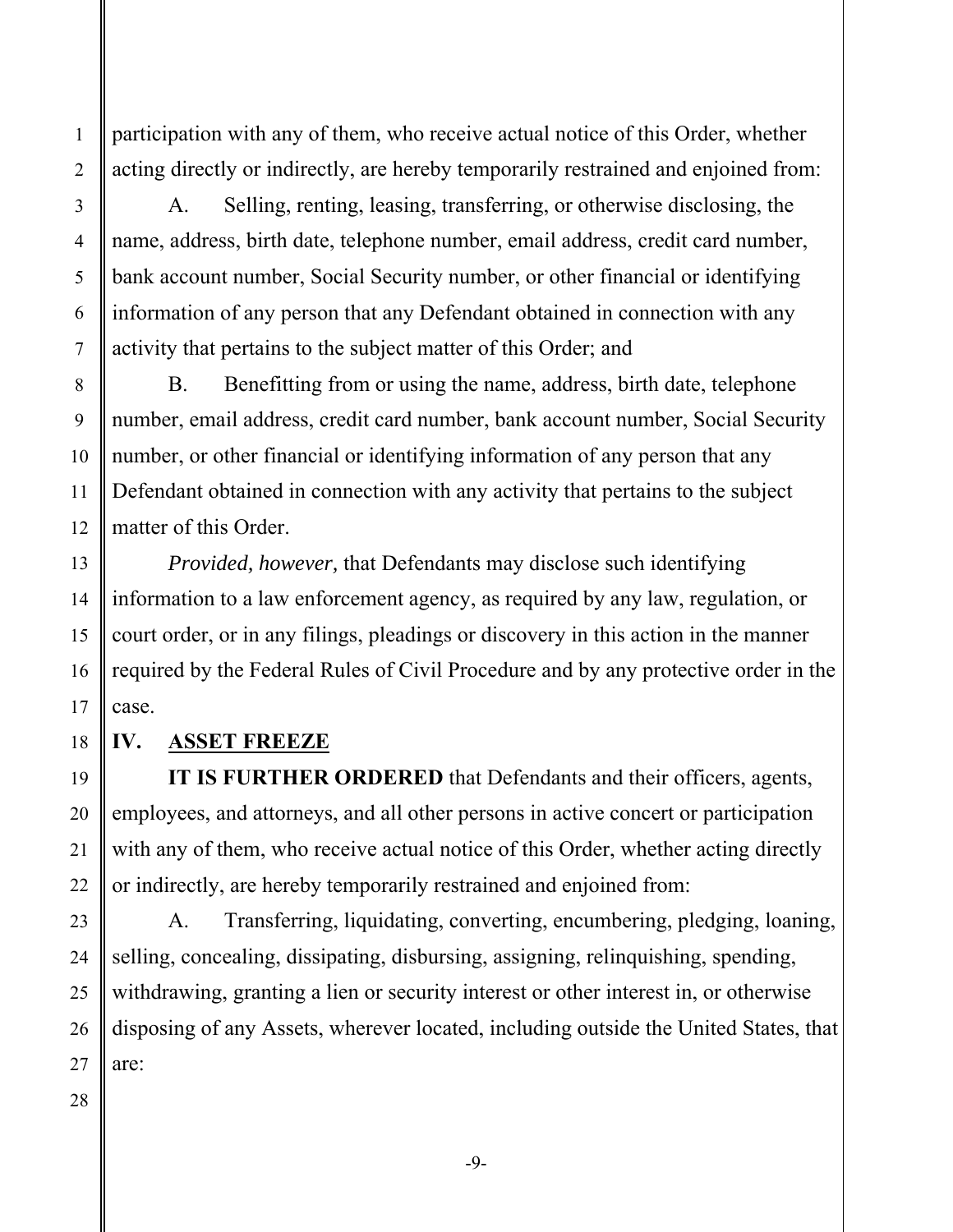participation with any of them, who receive actual notice of this Order, whether acting directly or indirectly, are hereby temporarily restrained and enjoined from:

A. Selling, renting, leasing, transferring, or otherwise disclosing, the name, address, birth date, telephone number, email address, credit card number, bank account number, Social Security number, or other financial or identifying information of any person that any Defendant obtained in connection with any activity that pertains to the subject matter of this Order; and

B. Benefitting from or using the name, address, birth date, telephone number, email address, credit card number, bank account number, Social Security number, or other financial or identifying information of any person that any Defendant obtained in connection with any activity that pertains to the subject matter of this Order.

*Provided, however,* that Defendants may disclose such identifying information to a law enforcement agency, as required by any law, regulation, or court order, or in any filings, pleadings or discovery in this action in the manner required by the Federal Rules of Civil Procedure and by any protective order in the case.

#### **IV. ASSET FREEZE**

**IT IS FURTHER ORDERED** that Defendants and their officers, agents, employees, and attorneys, and all other persons in active concert or participation with any of them, who receive actual notice of this Order, whether acting directly or indirectly, are hereby temporarily restrained and enjoined from:

A. Transferring, liquidating, converting, encumbering, pledging, loaning, selling, concealing, dissipating, disbursing, assigning, relinquishing, spending, withdrawing, granting a lien or security interest or other interest in, or otherwise disposing of any Assets, wherever located, including outside the United States, that are:

1

2

3

4

5

6

7

8

9

10

11

12

13

14

15

16

17

18

-9-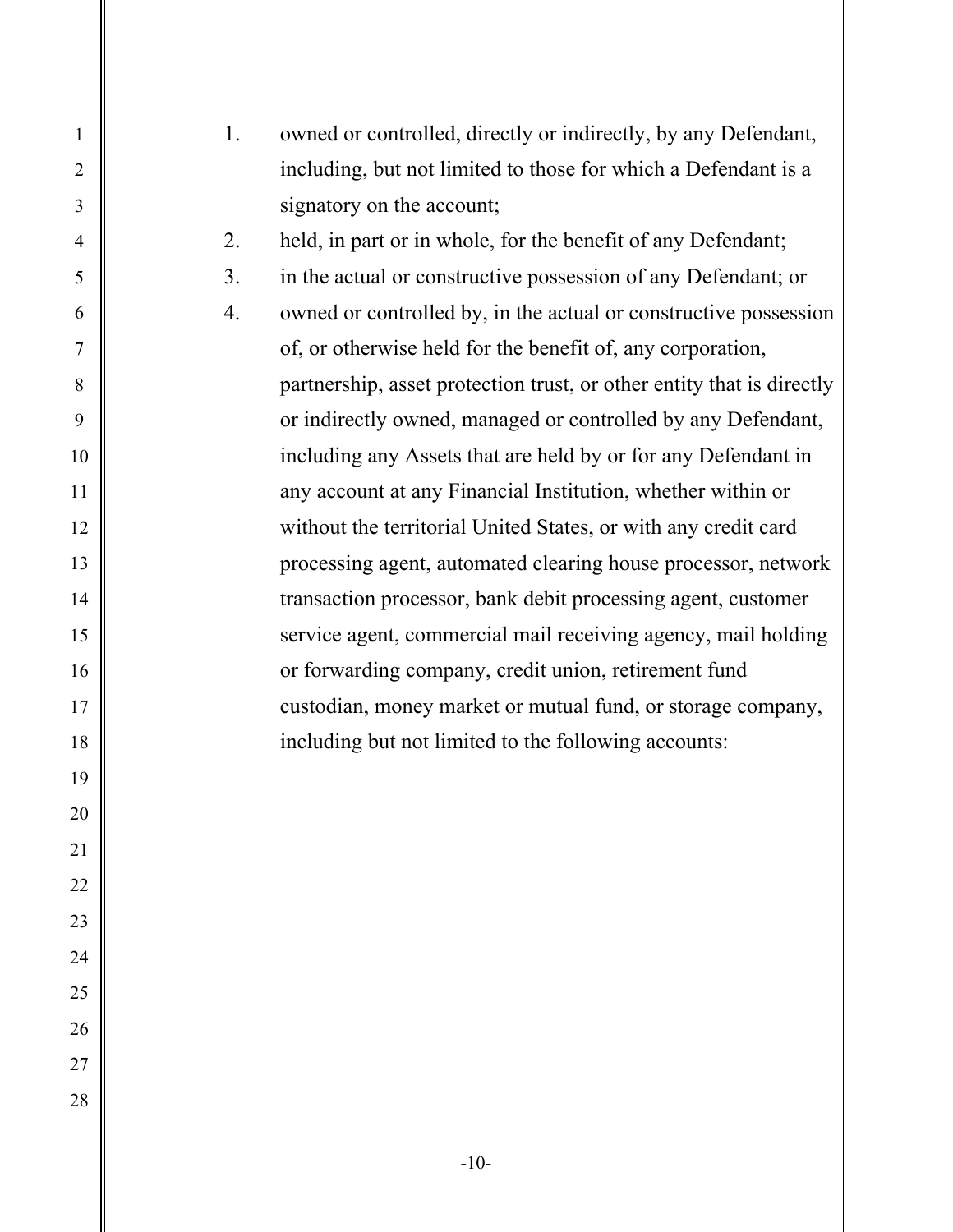| $\mathbf{1}$     | 1. | owned or controlled, directly or indirectly, by any Defendant,        |
|------------------|----|-----------------------------------------------------------------------|
| $\overline{2}$   |    | including, but not limited to those for which a Defendant is a        |
| 3                |    | signatory on the account;                                             |
| $\overline{4}$   | 2. | held, in part or in whole, for the benefit of any Defendant;          |
| 5                | 3. | in the actual or constructive possession of any Defendant; or         |
| 6                | 4. | owned or controlled by, in the actual or constructive possession      |
| $\boldsymbol{7}$ |    | of, or otherwise held for the benefit of, any corporation,            |
| $\,8\,$          |    | partnership, asset protection trust, or other entity that is directly |
| 9                |    | or indirectly owned, managed or controlled by any Defendant,          |
| 10               |    | including any Assets that are held by or for any Defendant in         |
| 11               |    | any account at any Financial Institution, whether within or           |
| 12               |    | without the territorial United States, or with any credit card        |
| 13               |    | processing agent, automated clearing house processor, network         |
| 14               |    | transaction processor, bank debit processing agent, customer          |
| 15               |    | service agent, commercial mail receiving agency, mail holding         |
| 16               |    | or forwarding company, credit union, retirement fund                  |
| 17               |    | custodian, money market or mutual fund, or storage company,           |
| 18               |    | including but not limited to the following accounts:                  |
| 19               |    |                                                                       |
| 20               |    |                                                                       |
| 21               |    |                                                                       |
| 22               |    |                                                                       |
| 23               |    |                                                                       |
| 24               |    |                                                                       |
| 25               |    |                                                                       |
| 26               |    |                                                                       |
| $27\,$           |    |                                                                       |
| 28               |    |                                                                       |
|                  |    |                                                                       |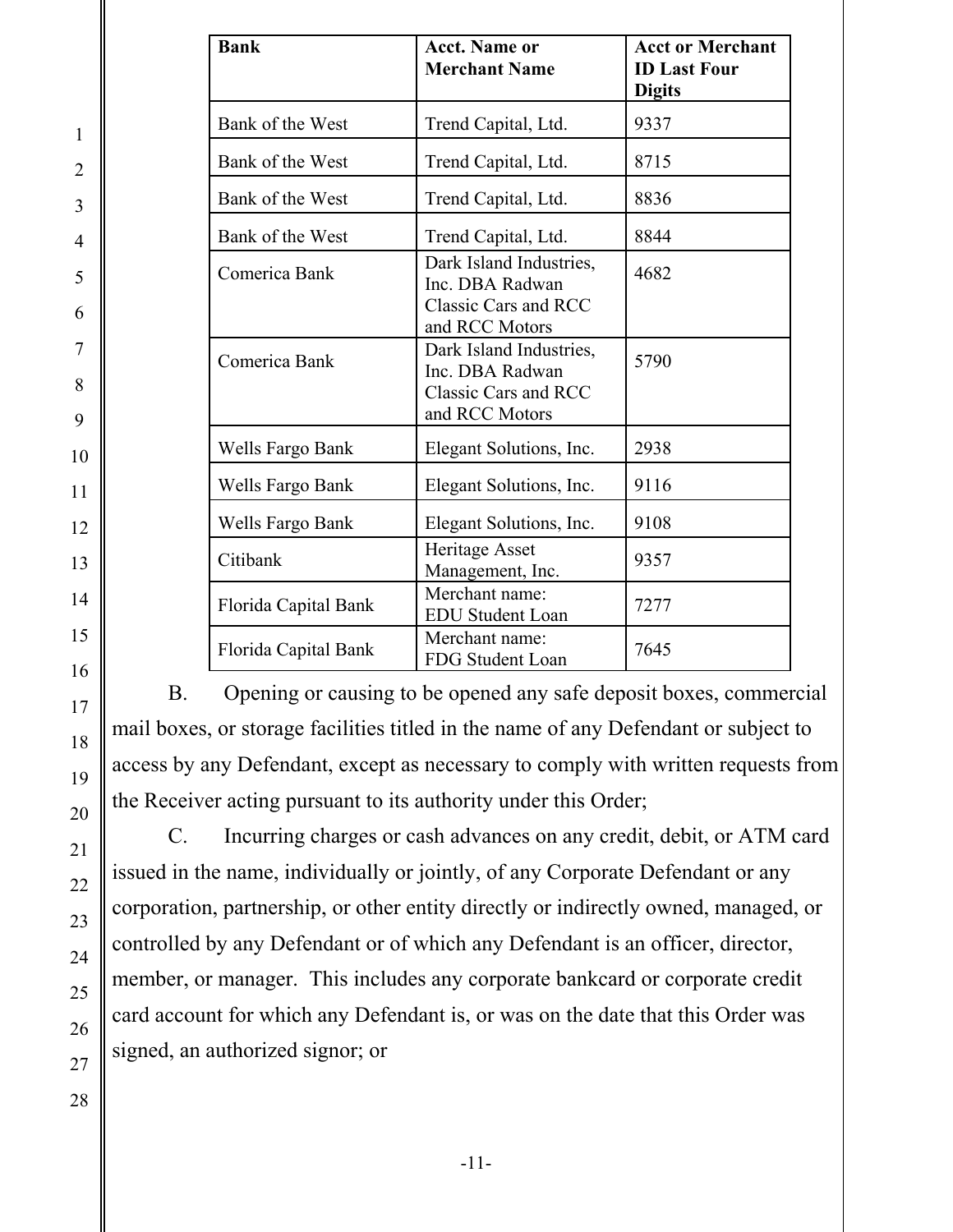| <b>Bank</b>          | <b>Acct. Name or</b><br><b>Merchant Name</b>                                         | <b>Acct or Merchant</b><br><b>ID Last Four</b><br><b>Digits</b> |
|----------------------|--------------------------------------------------------------------------------------|-----------------------------------------------------------------|
| Bank of the West     | Trend Capital, Ltd.                                                                  | 9337                                                            |
| Bank of the West     | Trend Capital, Ltd.                                                                  | 8715                                                            |
| Bank of the West     | Trend Capital, Ltd.                                                                  | 8836                                                            |
| Bank of the West     | Trend Capital, Ltd.                                                                  | 8844                                                            |
| Comerica Bank        | Dark Island Industries,<br>Inc. DBA Radwan<br>Classic Cars and RCC<br>and RCC Motors | 4682                                                            |
| Comerica Bank        | Dark Island Industries,<br>Inc. DBA Radwan<br>Classic Cars and RCC<br>and RCC Motors | 5790                                                            |
| Wells Fargo Bank     | Elegant Solutions, Inc.                                                              | 2938                                                            |
| Wells Fargo Bank     | Elegant Solutions, Inc.                                                              | 9116                                                            |
| Wells Fargo Bank     | Elegant Solutions, Inc.                                                              | 9108                                                            |
| Citibank             | Heritage Asset<br>Management, Inc.                                                   | 9357                                                            |
| Florida Capital Bank | Merchant name:<br><b>EDU Student Loan</b>                                            | 7277                                                            |
| Florida Capital Bank | Merchant name:<br>FDG Student Loan                                                   | 7645                                                            |

B. Opening or causing to be opened any safe deposit boxes, commercial mail boxes, or storage facilities titled in the name of any Defendant or subject to access by any Defendant, except as necessary to comply with written requests from the Receiver acting pursuant to its authority under this Order;

C. Incurring charges or cash advances on any credit, debit, or ATM card issued in the name, individually or jointly, of any Corporate Defendant or any corporation, partnership, or other entity directly or indirectly owned, managed, or controlled by any Defendant or of which any Defendant is an officer, director, member, or manager. This includes any corporate bankcard or corporate credit card account for which any Defendant is, or was on the date that this Order was signed, an authorized signor; or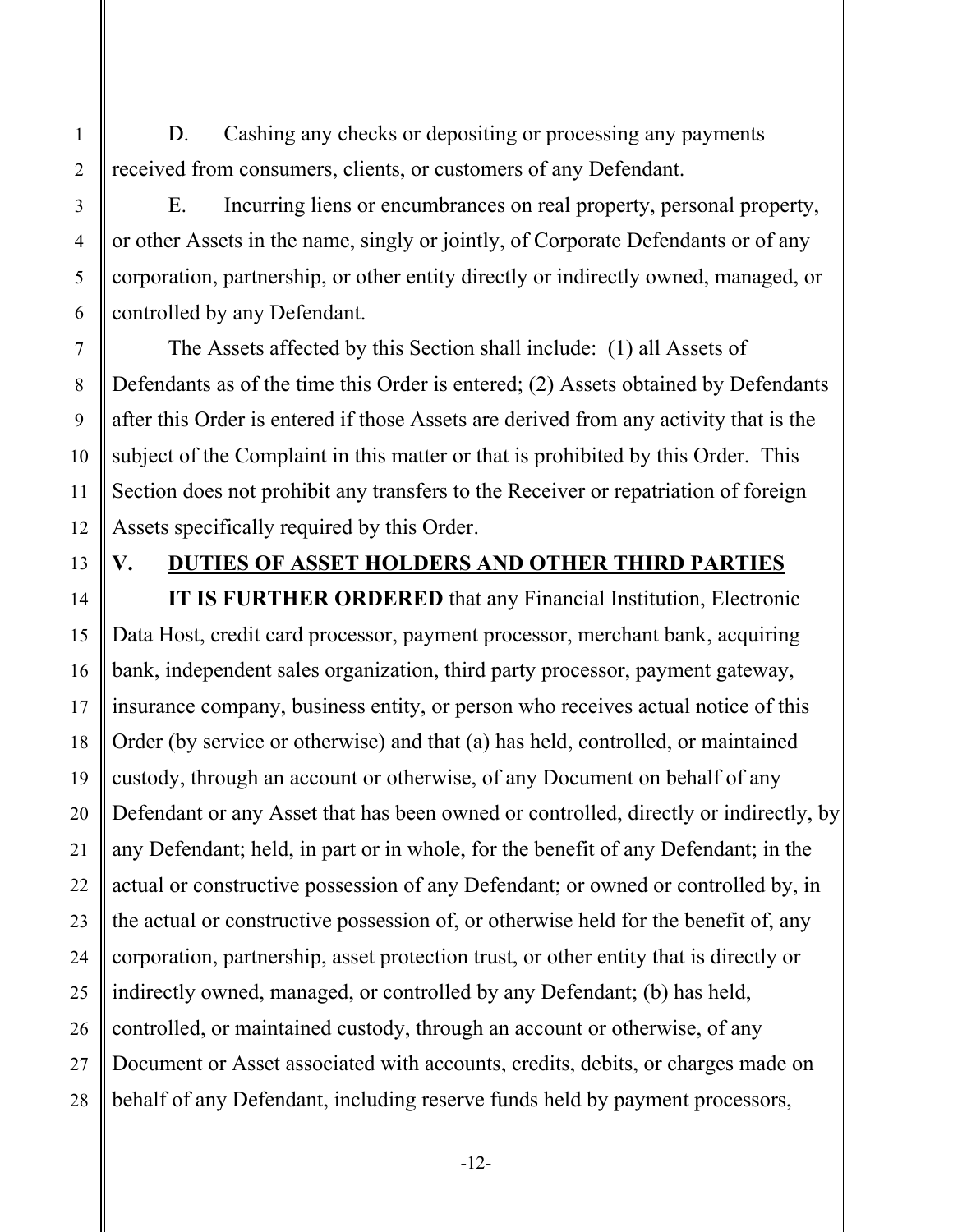D. Cashing any checks or depositing or processing any payments received from consumers, clients, or customers of any Defendant.

E. Incurring liens or encumbrances on real property, personal property, or other Assets in the name, singly or jointly, of Corporate Defendants or of any corporation, partnership, or other entity directly or indirectly owned, managed, or controlled by any Defendant.

The Assets affected by this Section shall include: (1) all Assets of Defendants as of the time this Order is entered; (2) Assets obtained by Defendants after this Order is entered if those Assets are derived from any activity that is the subject of the Complaint in this matter or that is prohibited by this Order. This Section does not prohibit any transfers to the Receiver or repatriation of foreign Assets specifically required by this Order.

1

#### **V. DUTIES OF ASSET HOLDERS AND OTHER THIRD PARTIES**

**IT IS FURTHER ORDERED** that any Financial Institution, Electronic Data Host, credit card processor, payment processor, merchant bank, acquiring bank, independent sales organization, third party processor, payment gateway, insurance company, business entity, or person who receives actual notice of this Order (by service or otherwise) and that (a) has held, controlled, or maintained custody, through an account or otherwise, of any Document on behalf of any Defendant or any Asset that has been owned or controlled, directly or indirectly, by any Defendant; held, in part or in whole, for the benefit of any Defendant; in the actual or constructive possession of any Defendant; or owned or controlled by, in the actual or constructive possession of, or otherwise held for the benefit of, any corporation, partnership, asset protection trust, or other entity that is directly or indirectly owned, managed, or controlled by any Defendant; (b) has held, controlled, or maintained custody, through an account or otherwise, of any Document or Asset associated with accounts, credits, debits, or charges made on behalf of any Defendant, including reserve funds held by payment processors,

-12-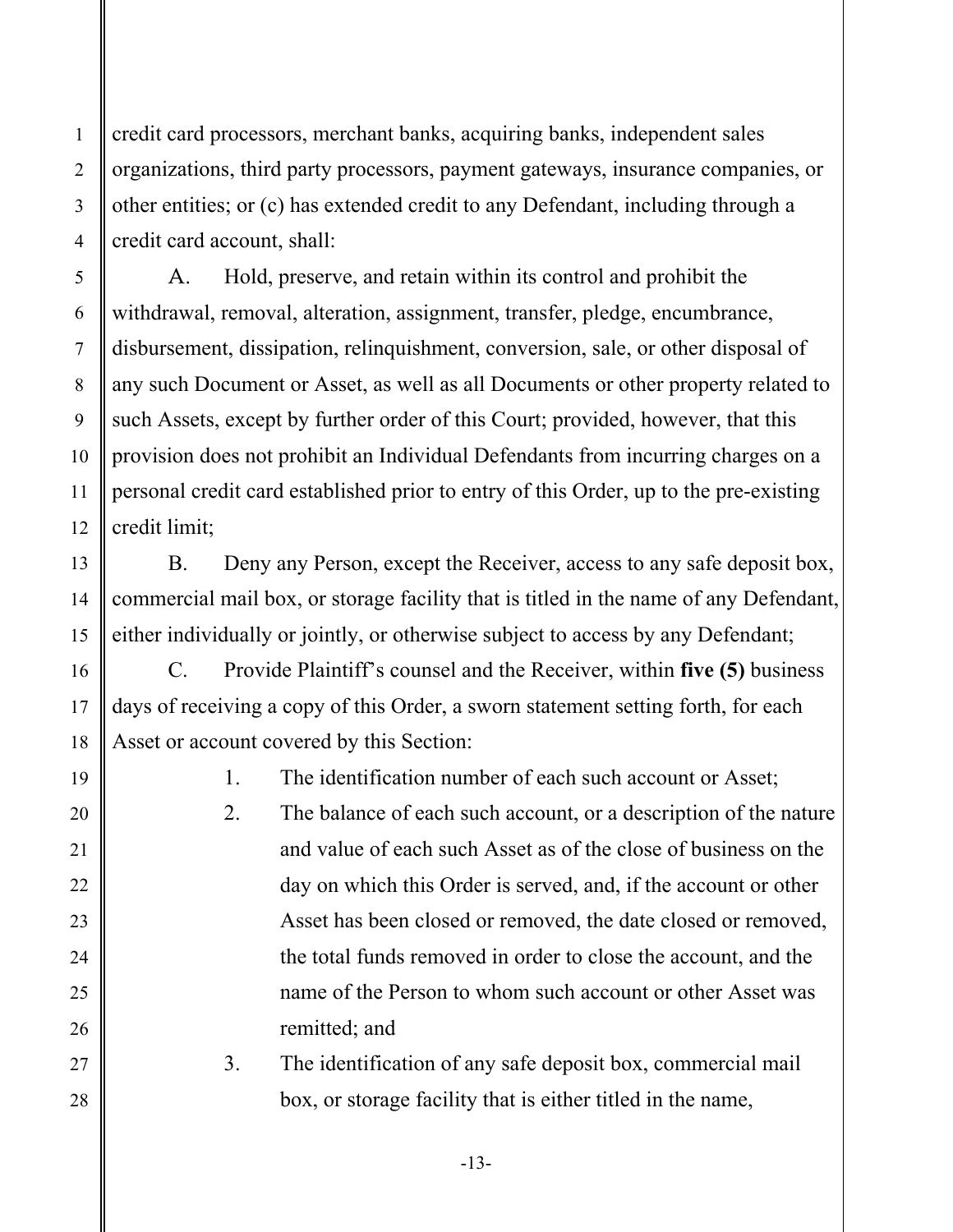credit card processors, merchant banks, acquiring banks, independent sales organizations, third party processors, payment gateways, insurance companies, or other entities; or (c) has extended credit to any Defendant, including through a credit card account, shall:

A. Hold, preserve, and retain within its control and prohibit the withdrawal, removal, alteration, assignment, transfer, pledge, encumbrance, disbursement, dissipation, relinquishment, conversion, sale, or other disposal of any such Document or Asset, as well as all Documents or other property related to such Assets, except by further order of this Court; provided, however, that this provision does not prohibit an Individual Defendants from incurring charges on a personal credit card established prior to entry of this Order, up to the pre-existing credit limit;

B. Deny any Person, except the Receiver, access to any safe deposit box, commercial mail box, or storage facility that is titled in the name of any Defendant, either individually or jointly, or otherwise subject to access by any Defendant;

C. Provide Plaintiff's counsel and the Receiver, within **five (5)** business days of receiving a copy of this Order, a sworn statement setting forth, for each Asset or account covered by this Section:

> 1. The identification number of each such account or Asset; 2. The balance of each such account, or a description of the nature and value of each such Asset as of the close of business on the day on which this Order is served, and, if the account or other Asset has been closed or removed, the date closed or removed, the total funds removed in order to close the account, and the

name of the Person to whom such account or other Asset was remitted; and 3. The identification of any safe deposit box, commercial mail

box, or storage facility that is either titled in the name,

-13-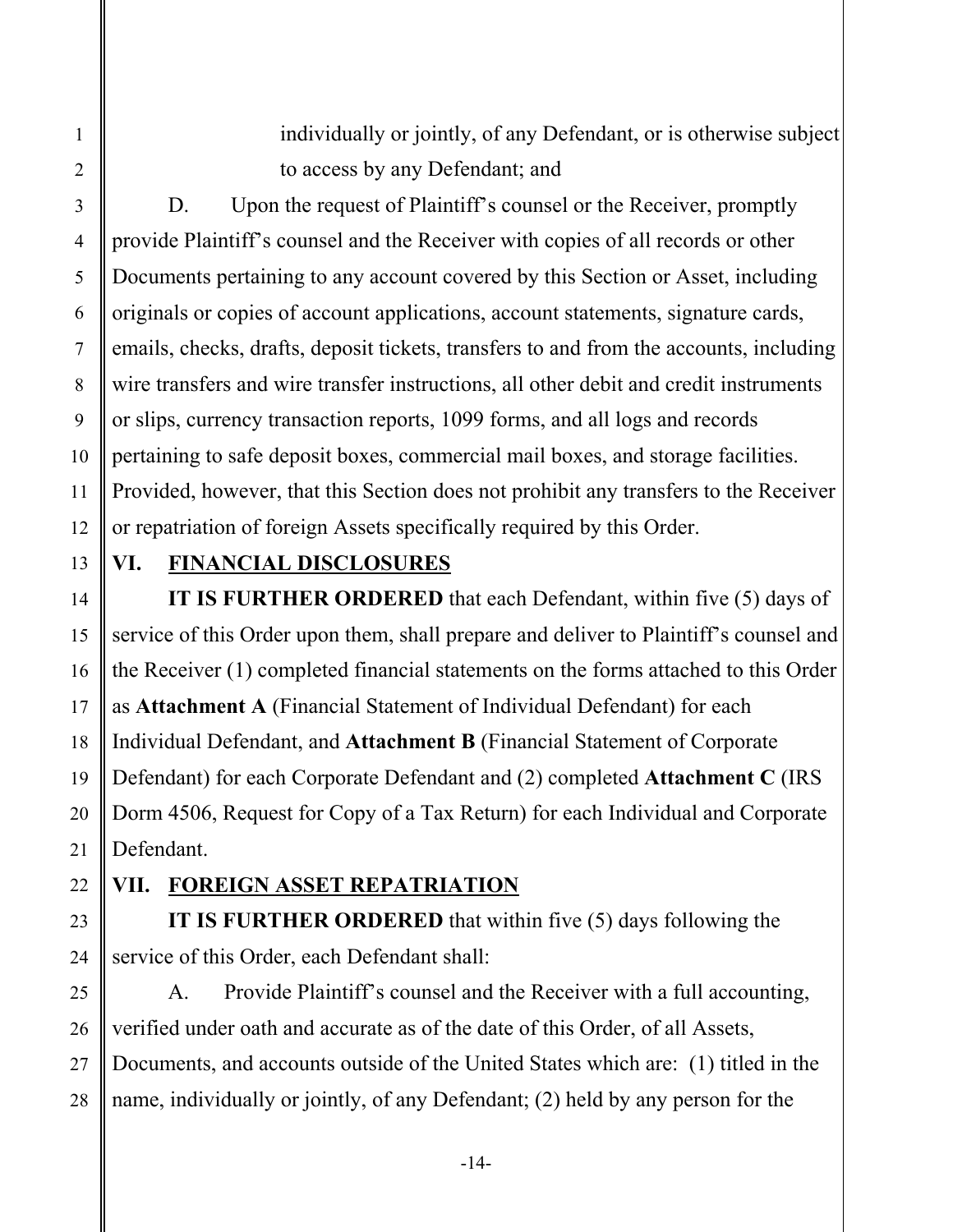individually or jointly, of any Defendant, or is otherwise subject to access by any Defendant; and

 10 12 D. Upon the request of Plaintiff's counsel or the Receiver, promptly provide Plaintiff's counsel and the Receiver with copies of all records or other Documents pertaining to any account covered by this Section or Asset, including originals or copies of account applications, account statements, signature cards, emails, checks, drafts, deposit tickets, transfers to and from the accounts, including wire transfers and wire transfer instructions, all other debit and credit instruments or slips, currency transaction reports, 1099 forms, and all logs and records pertaining to safe deposit boxes, commercial mail boxes, and storage facilities. Provided, however, that this Section does not prohibit any transfers to the Receiver or repatriation of foreign Assets specifically required by this Order.

# 13

14

15

16

17

18

19

20

21

24

1

2

3

4

5

6

7

8

9

11

#### **VI. FINANCIAL DISCLOSURES**

**IT IS FURTHER ORDERED** that each Defendant, within five (5) days of service of this Order upon them, shall prepare and deliver to Plaintiff's counsel and the Receiver (1) completed financial statements on the forms attached to this Order as **Attachment A** (Financial Statement of Individual Defendant) for each Individual Defendant, and **Attachment B** (Financial Statement of Corporate Defendant) for each Corporate Defendant and (2) completed **Attachment C** (IRS Dorm 4506, Request for Copy of a Tax Return) for each Individual and Corporate Defendant.

#### 22

23

# **VII. FOREIGN ASSET REPATRIATION**

**IT IS FURTHER ORDERED** that within five (5) days following the service of this Order, each Defendant shall:

 25 26 27 28 A. Provide Plaintiff's counsel and the Receiver with a full accounting, verified under oath and accurate as of the date of this Order, of all Assets, Documents, and accounts outside of the United States which are: (1) titled in the name, individually or jointly, of any Defendant; (2) held by any person for the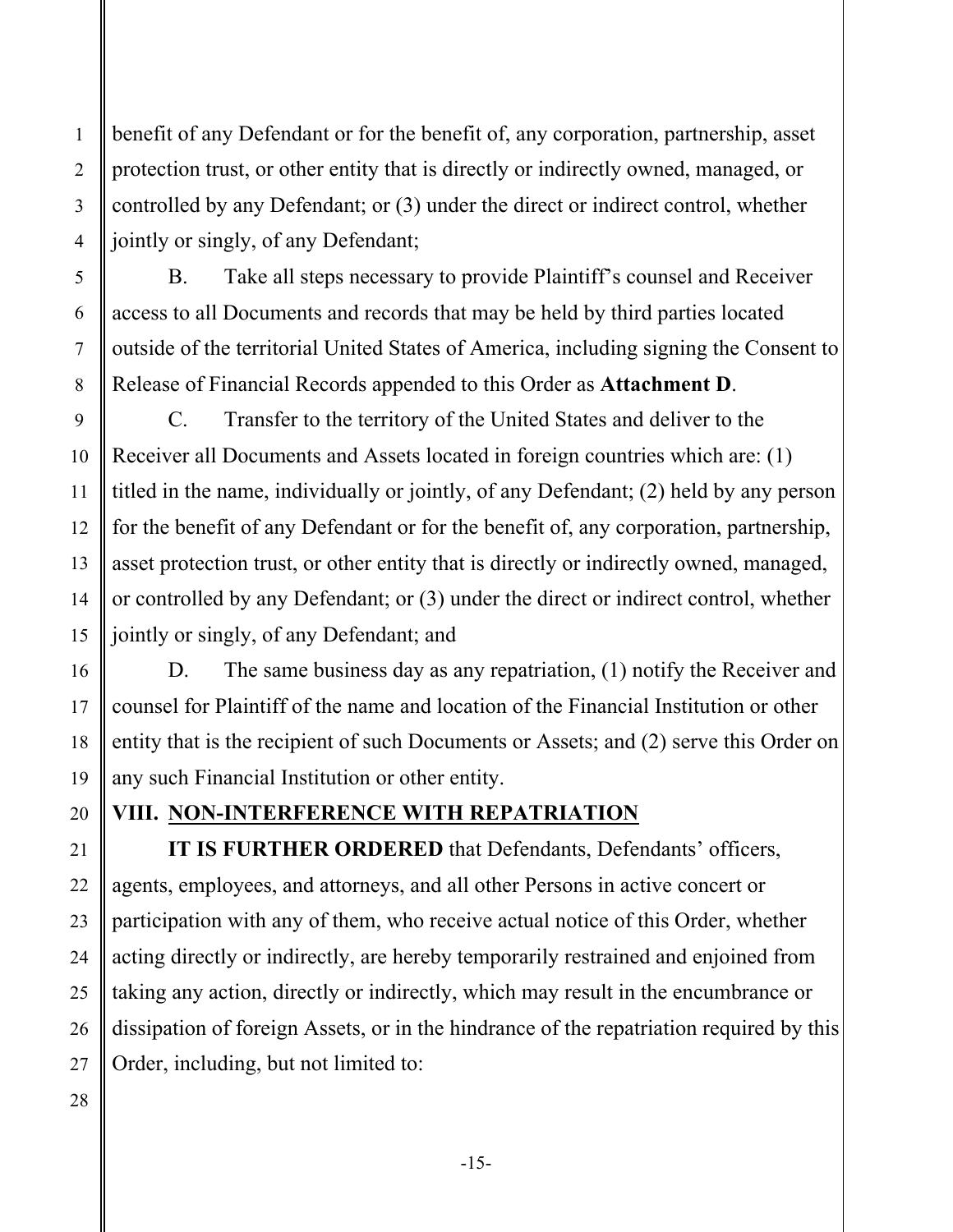benefit of any Defendant or for the benefit of, any corporation, partnership, asset protection trust, or other entity that is directly or indirectly owned, managed, or controlled by any Defendant; or (3) under the direct or indirect control, whether jointly or singly, of any Defendant;

B. Take all steps necessary to provide Plaintiff's counsel and Receiver access to all Documents and records that may be held by third parties located outside of the territorial United States of America, including signing the Consent to Release of Financial Records appended to this Order as **Attachment D**.

C. Transfer to the territory of the United States and deliver to the Receiver all Documents and Assets located in foreign countries which are: (1) titled in the name, individually or jointly, of any Defendant; (2) held by any person for the benefit of any Defendant or for the benefit of, any corporation, partnership, asset protection trust, or other entity that is directly or indirectly owned, managed, or controlled by any Defendant; or (3) under the direct or indirect control, whether jointly or singly, of any Defendant; and

D. The same business day as any repatriation, (1) notify the Receiver and counsel for Plaintiff of the name and location of the Financial Institution or other entity that is the recipient of such Documents or Assets; and (2) serve this Order on any such Financial Institution or other entity.

# **VIII. NON-INTERFERENCE WITH REPATRIATION**

**IT IS FURTHER ORDERED** that Defendants, Defendants' officers, agents, employees, and attorneys, and all other Persons in active concert or participation with any of them, who receive actual notice of this Order, whether acting directly or indirectly, are hereby temporarily restrained and enjoined from taking any action, directly or indirectly, which may result in the encumbrance or dissipation of foreign Assets, or in the hindrance of the repatriation required by this Order, including, but not limited to: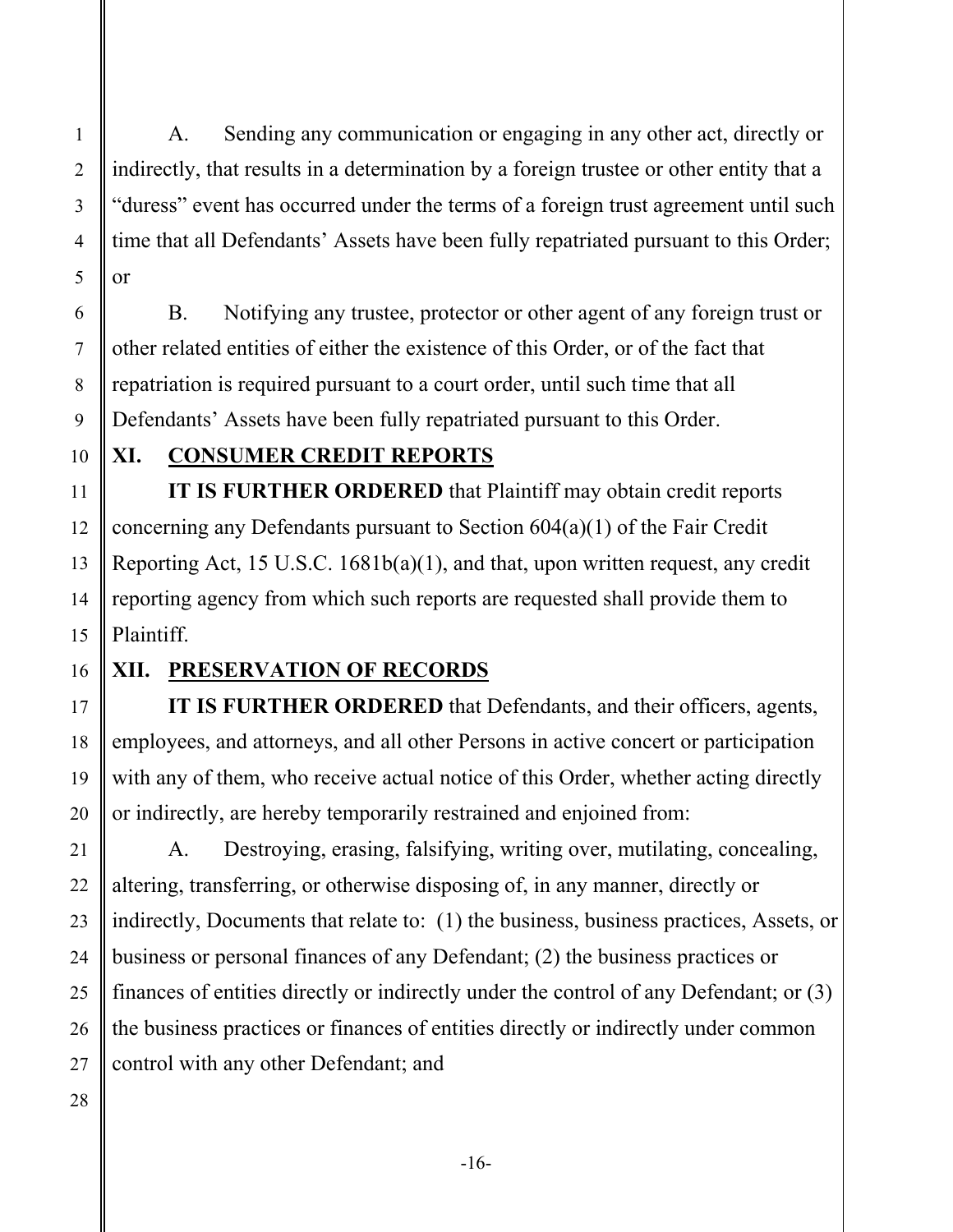A. Sending any communication or engaging in any other act, directly or indirectly, that results in a determination by a foreign trustee or other entity that a "duress" event has occurred under the terms of a foreign trust agreement until such time that all Defendants' Assets have been fully repatriated pursuant to this Order; or

B. Notifying any trustee, protector or other agent of any foreign trust or other related entities of either the existence of this Order, or of the fact that repatriation is required pursuant to a court order, until such time that all Defendants' Assets have been fully repatriated pursuant to this Order.

10

1

2

3

4

5

6

7

8

9

11

12

13

14

15

17

18

19

20

21

22

23

24

25

## **XI. CONSUMER CREDIT REPORTS**

**IT IS FURTHER ORDERED** that Plaintiff may obtain credit reports concerning any Defendants pursuant to Section 604(a)(1) of the Fair Credit Reporting Act, 15 U.S.C. 1681b(a)(1), and that, upon written request, any credit reporting agency from which such reports are requested shall provide them to Plaintiff.

#### 16

# **XII. PRESERVATION OF RECORDS**

**IT IS FURTHER ORDERED** that Defendants, and their officers, agents, employees, and attorneys, and all other Persons in active concert or participation with any of them, who receive actual notice of this Order, whether acting directly or indirectly, are hereby temporarily restrained and enjoined from:

A. Destroying, erasing, falsifying, writing over, mutilating, concealing, altering, transferring, or otherwise disposing of, in any manner, directly or indirectly, Documents that relate to: (1) the business, business practices, Assets, or business or personal finances of any Defendant; (2) the business practices or finances of entities directly or indirectly under the control of any Defendant; or (3) the business practices or finances of entities directly or indirectly under common control with any other Defendant; and

 26 27 28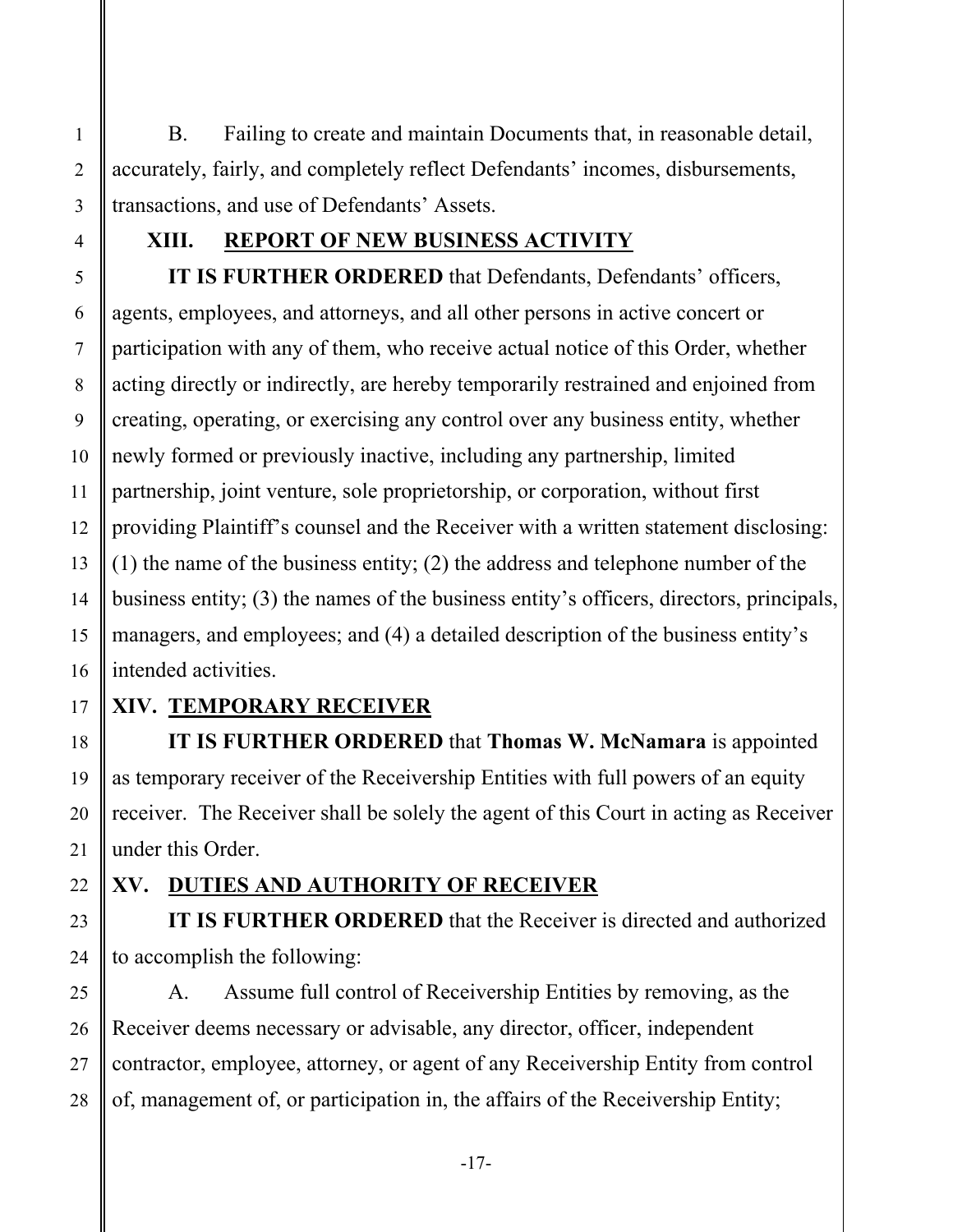B. Failing to create and maintain Documents that, in reasonable detail, accurately, fairly, and completely reflect Defendants' incomes, disbursements, transactions, and use of Defendants' Assets.

# **XIII. REPORT OF NEW BUSINESS ACTIVITY**

**IT IS FURTHER ORDERED** that Defendants, Defendants' officers, agents, employees, and attorneys, and all other persons in active concert or participation with any of them, who receive actual notice of this Order, whether acting directly or indirectly, are hereby temporarily restrained and enjoined from creating, operating, or exercising any control over any business entity, whether newly formed or previously inactive, including any partnership, limited partnership, joint venture, sole proprietorship, or corporation, without first providing Plaintiff's counsel and the Receiver with a written statement disclosing: (1) the name of the business entity; (2) the address and telephone number of the business entity; (3) the names of the business entity's officers, directors, principals, managers, and employees; and (4) a detailed description of the business entity's intended activities.

# **XIV. TEMPORARY RECEIVER**

**IT IS FURTHER ORDERED** that **Thomas W. McNamara** is appointed as temporary receiver of the Receivership Entities with full powers of an equity receiver. The Receiver shall be solely the agent of this Court in acting as Receiver under this Order.

# **XV. DUTIES AND AUTHORITY OF RECEIVER**

**IT IS FURTHER ORDERED** that the Receiver is directed and authorized to accomplish the following:

 28 A. Assume full control of Receivership Entities by removing, as the Receiver deems necessary or advisable, any director, officer, independent contractor, employee, attorney, or agent of any Receivership Entity from control of, management of, or participation in, the affairs of the Receivership Entity;

1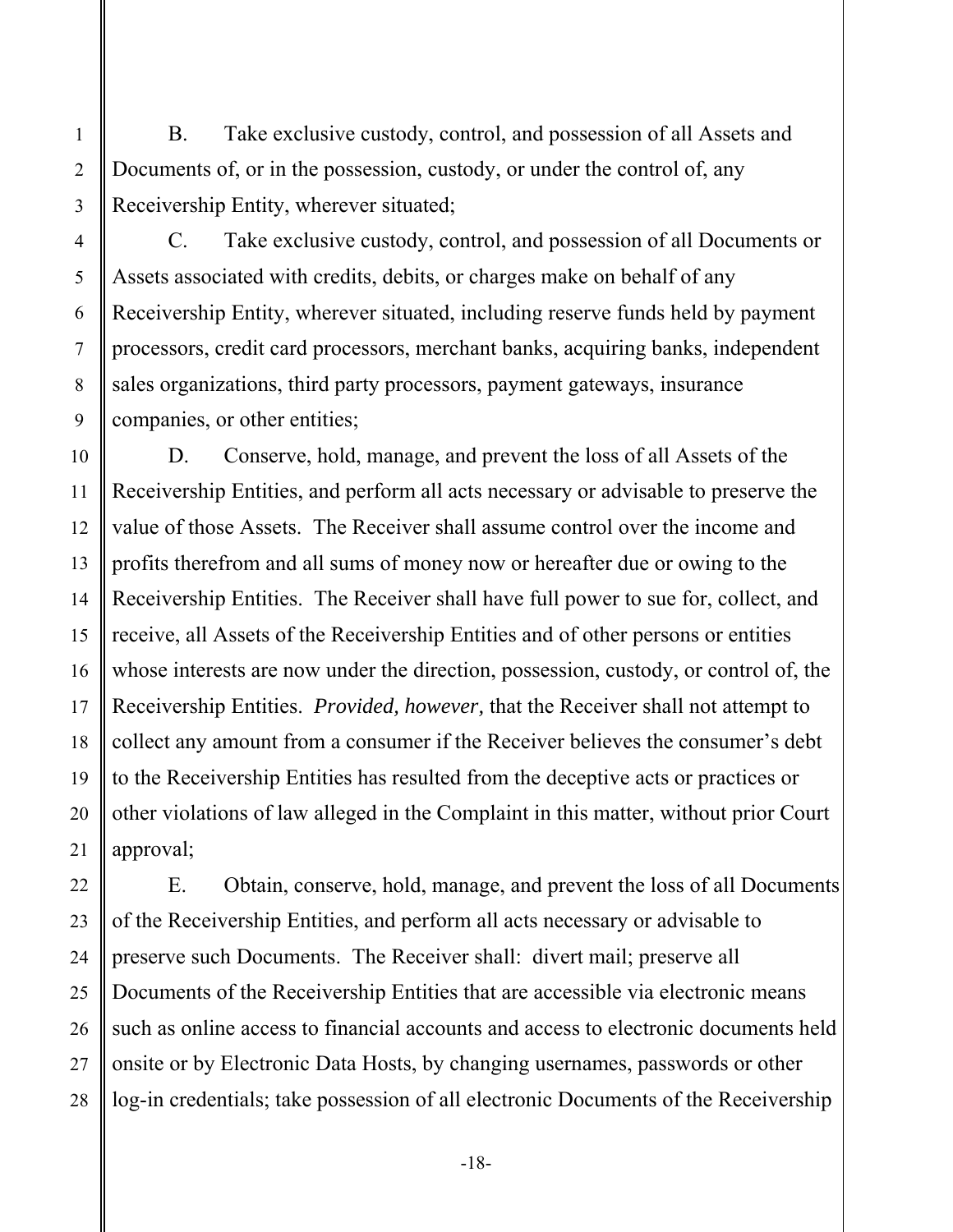B. Take exclusive custody, control, and possession of all Assets and Documents of, or in the possession, custody, or under the control of, any Receivership Entity, wherever situated;

C. Take exclusive custody, control, and possession of all Documents or Assets associated with credits, debits, or charges make on behalf of any Receivership Entity, wherever situated, including reserve funds held by payment processors, credit card processors, merchant banks, acquiring banks, independent sales organizations, third party processors, payment gateways, insurance companies, or other entities;

D. Conserve, hold, manage, and prevent the loss of all Assets of the Receivership Entities, and perform all acts necessary or advisable to preserve the value of those Assets. The Receiver shall assume control over the income and profits therefrom and all sums of money now or hereafter due or owing to the Receivership Entities. The Receiver shall have full power to sue for, collect, and receive, all Assets of the Receivership Entities and of other persons or entities whose interests are now under the direction, possession, custody, or control of, the Receivership Entities. *Provided, however,* that the Receiver shall not attempt to collect any amount from a consumer if the Receiver believes the consumer's debt to the Receivership Entities has resulted from the deceptive acts or practices or other violations of law alleged in the Complaint in this matter, without prior Court approval;

 28 E. Obtain, conserve, hold, manage, and prevent the loss of all Documents of the Receivership Entities, and perform all acts necessary or advisable to preserve such Documents. The Receiver shall: divert mail; preserve all Documents of the Receivership Entities that are accessible via electronic means such as online access to financial accounts and access to electronic documents held onsite or by Electronic Data Hosts, by changing usernames, passwords or other log-in credentials; take possession of all electronic Documents of the Receivership

1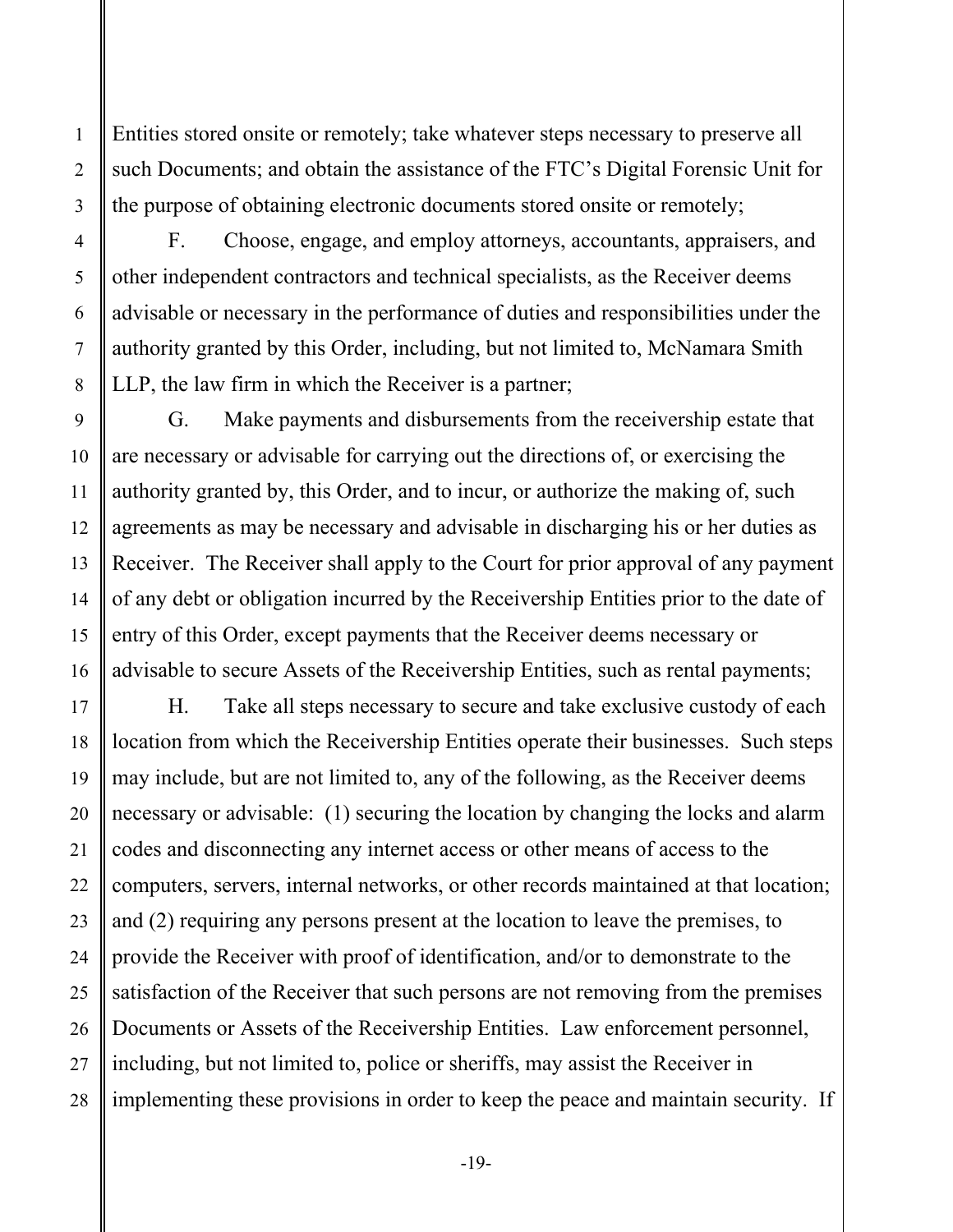Entities stored onsite or remotely; take whatever steps necessary to preserve all such Documents; and obtain the assistance of the FTC's Digital Forensic Unit for the purpose of obtaining electronic documents stored onsite or remotely;

F. Choose, engage, and employ attorneys, accountants, appraisers, and other independent contractors and technical specialists, as the Receiver deems advisable or necessary in the performance of duties and responsibilities under the authority granted by this Order, including, but not limited to, McNamara Smith LLP, the law firm in which the Receiver is a partner;

G. Make payments and disbursements from the receivership estate that are necessary or advisable for carrying out the directions of, or exercising the authority granted by, this Order, and to incur, or authorize the making of, such agreements as may be necessary and advisable in discharging his or her duties as Receiver. The Receiver shall apply to the Court for prior approval of any payment of any debt or obligation incurred by the Receivership Entities prior to the date of entry of this Order, except payments that the Receiver deems necessary or advisable to secure Assets of the Receivership Entities, such as rental payments;

H. Take all steps necessary to secure and take exclusive custody of each location from which the Receivership Entities operate their businesses. Such steps may include, but are not limited to, any of the following, as the Receiver deems necessary or advisable: (1) securing the location by changing the locks and alarm codes and disconnecting any internet access or other means of access to the computers, servers, internal networks, or other records maintained at that location; and (2) requiring any persons present at the location to leave the premises, to provide the Receiver with proof of identification, and/or to demonstrate to the satisfaction of the Receiver that such persons are not removing from the premises Documents or Assets of the Receivership Entities. Law enforcement personnel, including, but not limited to, police or sheriffs, may assist the Receiver in implementing these provisions in order to keep the peace and maintain security. If

1

2

3

4

5

6

7

8

9

10

11

12

13

14

15

16

17

18

19

20

21

22

23

24

25

26

27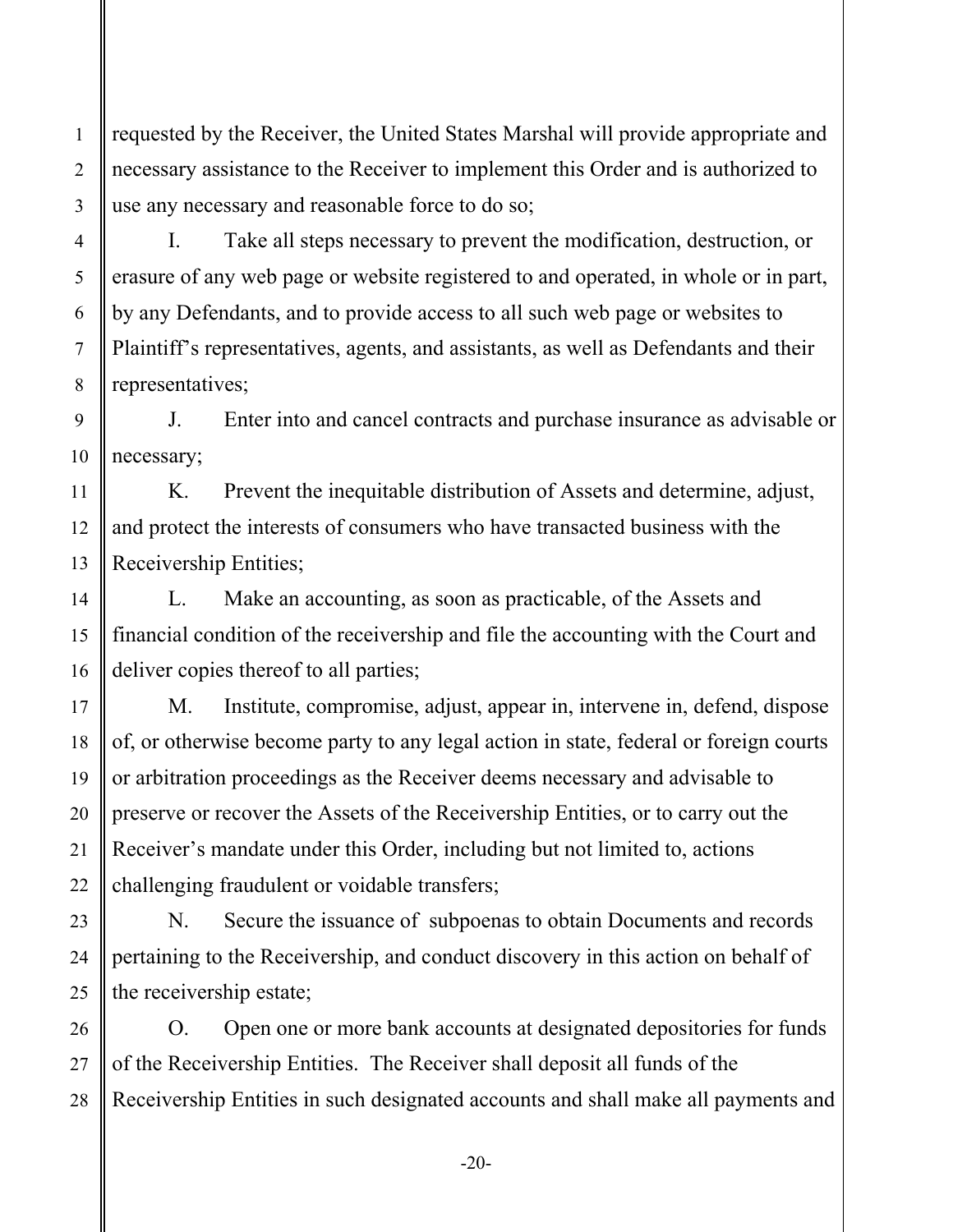requested by the Receiver, the United States Marshal will provide appropriate and necessary assistance to the Receiver to implement this Order and is authorized to use any necessary and reasonable force to do so;

I. Take all steps necessary to prevent the modification, destruction, or erasure of any web page or website registered to and operated, in whole or in part, by any Defendants, and to provide access to all such web page or websites to Plaintiff's representatives, agents, and assistants, as well as Defendants and their representatives;

 9 10 J. Enter into and cancel contracts and purchase insurance as advisable or necessary;

 12 13 K. Prevent the inequitable distribution of Assets and determine, adjust, and protect the interests of consumers who have transacted business with the Receivership Entities;

L. Make an accounting, as soon as practicable, of the Assets and financial condition of the receivership and file the accounting with the Court and deliver copies thereof to all parties;

 or arbitration proceedings as the Receiver deems necessary and advisable to M. Institute, compromise, adjust, appear in, intervene in, defend, dispose of, or otherwise become party to any legal action in state, federal or foreign courts preserve or recover the Assets of the Receivership Entities, or to carry out the Receiver's mandate under this Order, including but not limited to, actions challenging fraudulent or voidable transfers;

N. Secure the issuance of subpoenas to obtain Documents and records pertaining to the Receivership, and conduct discovery in this action on behalf of the receivership estate;

 26 27 28 O. Open one or more bank accounts at designated depositories for funds of the Receivership Entities. The Receiver shall deposit all funds of the Receivership Entities in such designated accounts and shall make all payments and

1

2

3

4

5

6

7

8

11

14

15

16

17

18

19

20

21

22

23

24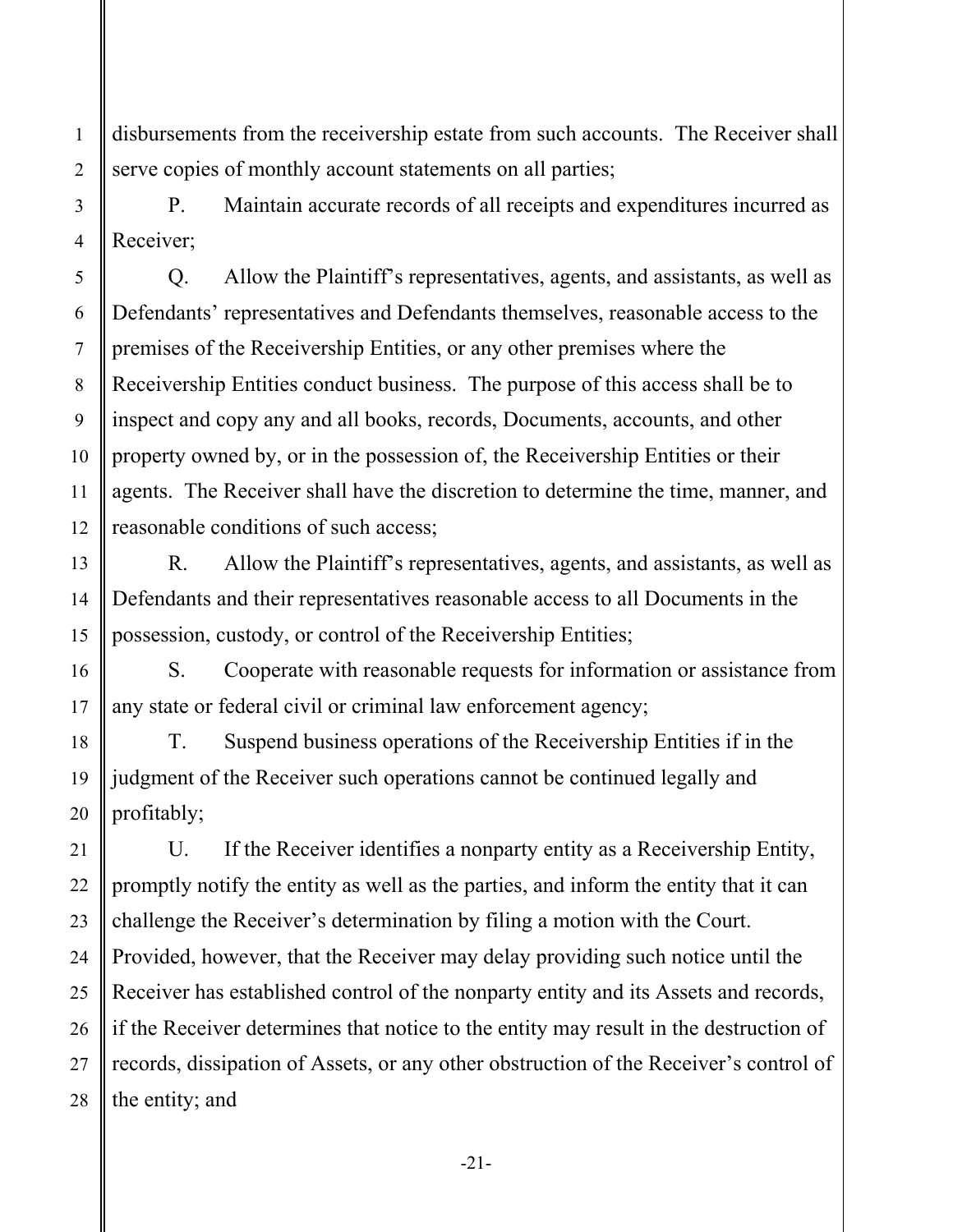disbursements from the receivership estate from such accounts. The Receiver shall serve copies of monthly account statements on all parties;

P. Maintain accurate records of all receipts and expenditures incurred as Receiver;

Q. Allow the Plaintiff's representatives, agents, and assistants, as well as Defendants' representatives and Defendants themselves, reasonable access to the premises of the Receivership Entities, or any other premises where the Receivership Entities conduct business. The purpose of this access shall be to inspect and copy any and all books, records, Documents, accounts, and other property owned by, or in the possession of, the Receivership Entities or their agents. The Receiver shall have the discretion to determine the time, manner, and reasonable conditions of such access;

R. Allow the Plaintiff's representatives, agents, and assistants, as well as Defendants and their representatives reasonable access to all Documents in the possession, custody, or control of the Receivership Entities;

S. Cooperate with reasonable requests for information or assistance from any state or federal civil or criminal law enforcement agency;

T. Suspend business operations of the Receivership Entities if in the judgment of the Receiver such operations cannot be continued legally and profitably;

 26 28 U. If the Receiver identifies a nonparty entity as a Receivership Entity, promptly notify the entity as well as the parties, and inform the entity that it can challenge the Receiver's determination by filing a motion with the Court. Provided, however, that the Receiver may delay providing such notice until the Receiver has established control of the nonparty entity and its Assets and records, if the Receiver determines that notice to the entity may result in the destruction of records, dissipation of Assets, or any other obstruction of the Receiver's control of the entity; and

1

2

3

4

5

6

7

8

9

10

11

12

13

14

15

16

17

18

19

20

21

22

23

24

25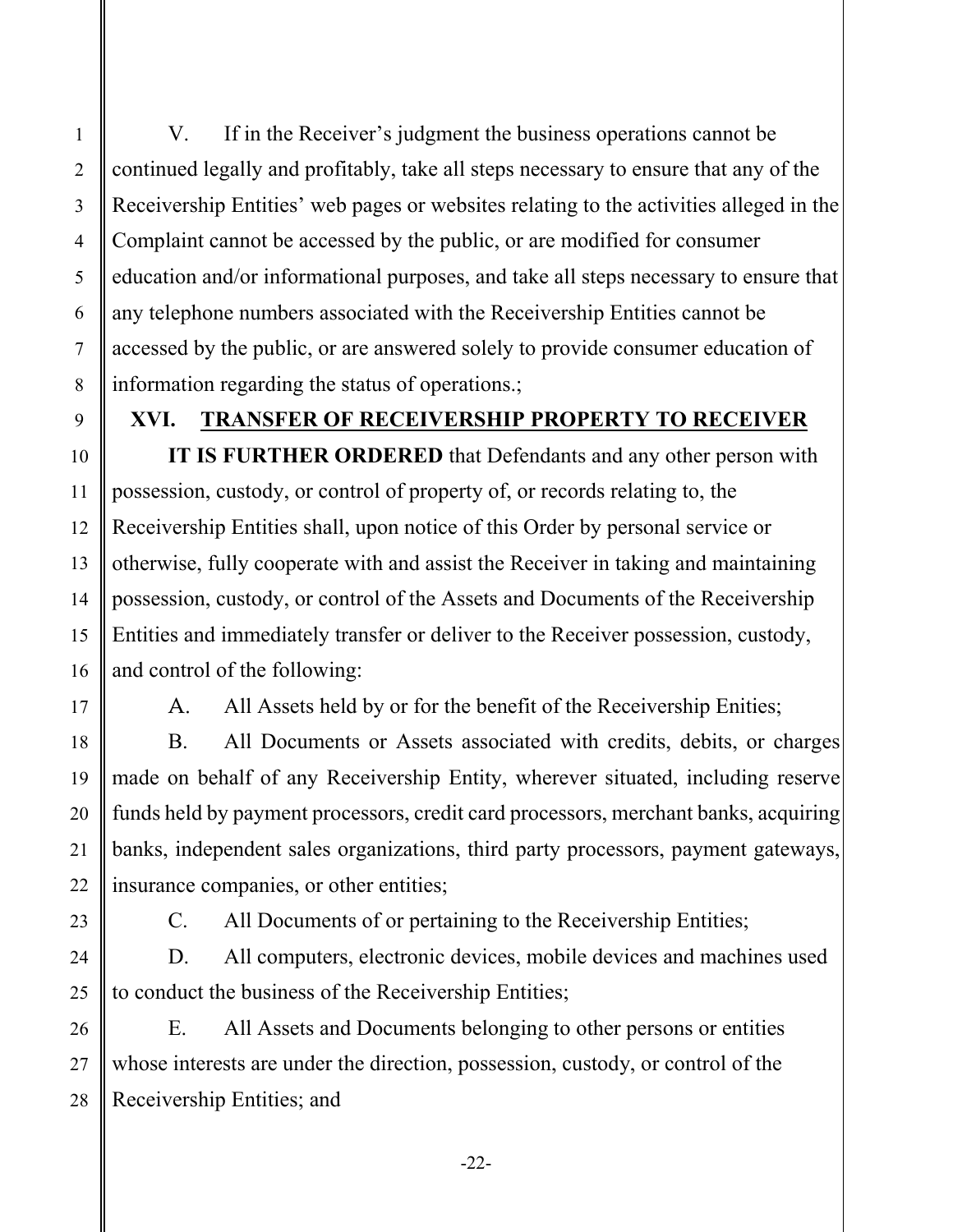V. If in the Receiver's judgment the business operations cannot be continued legally and profitably, take all steps necessary to ensure that any of the Receivership Entities' web pages or websites relating to the activities alleged in the Complaint cannot be accessed by the public, or are modified for consumer education and/or informational purposes, and take all steps necessary to ensure that any telephone numbers associated with the Receivership Entities cannot be accessed by the public, or are answered solely to provide consumer education of information regarding the status of operations.;

1

2

3

4

5

6

7

8

9

10

11

12

13

14

15

16

17

18

19

20

21

22

23

24

25

#### **XVI. TRANSFER OF RECEIVERSHIP PROPERTY TO RECEIVER**

**IT IS FURTHER ORDERED** that Defendants and any other person with possession, custody, or control of property of, or records relating to, the Receivership Entities shall, upon notice of this Order by personal service or otherwise, fully cooperate with and assist the Receiver in taking and maintaining possession, custody, or control of the Assets and Documents of the Receivership Entities and immediately transfer or deliver to the Receiver possession, custody, and control of the following:

A. All Assets held by or for the benefit of the Receivership Enities;

B. All Documents or Assets associated with credits, debits, or charges made on behalf of any Receivership Entity, wherever situated, including reserve funds held by payment processors, credit card processors, merchant banks, acquiring banks, independent sales organizations, third party processors, payment gateways, insurance companies, or other entities;

C. All Documents of or pertaining to the Receivership Entities;

D. All computers, electronic devices, mobile devices and machines used to conduct the business of the Receivership Entities;

 26 27 28 E. All Assets and Documents belonging to other persons or entities whose interests are under the direction, possession, custody, or control of the Receivership Entities; and

-22-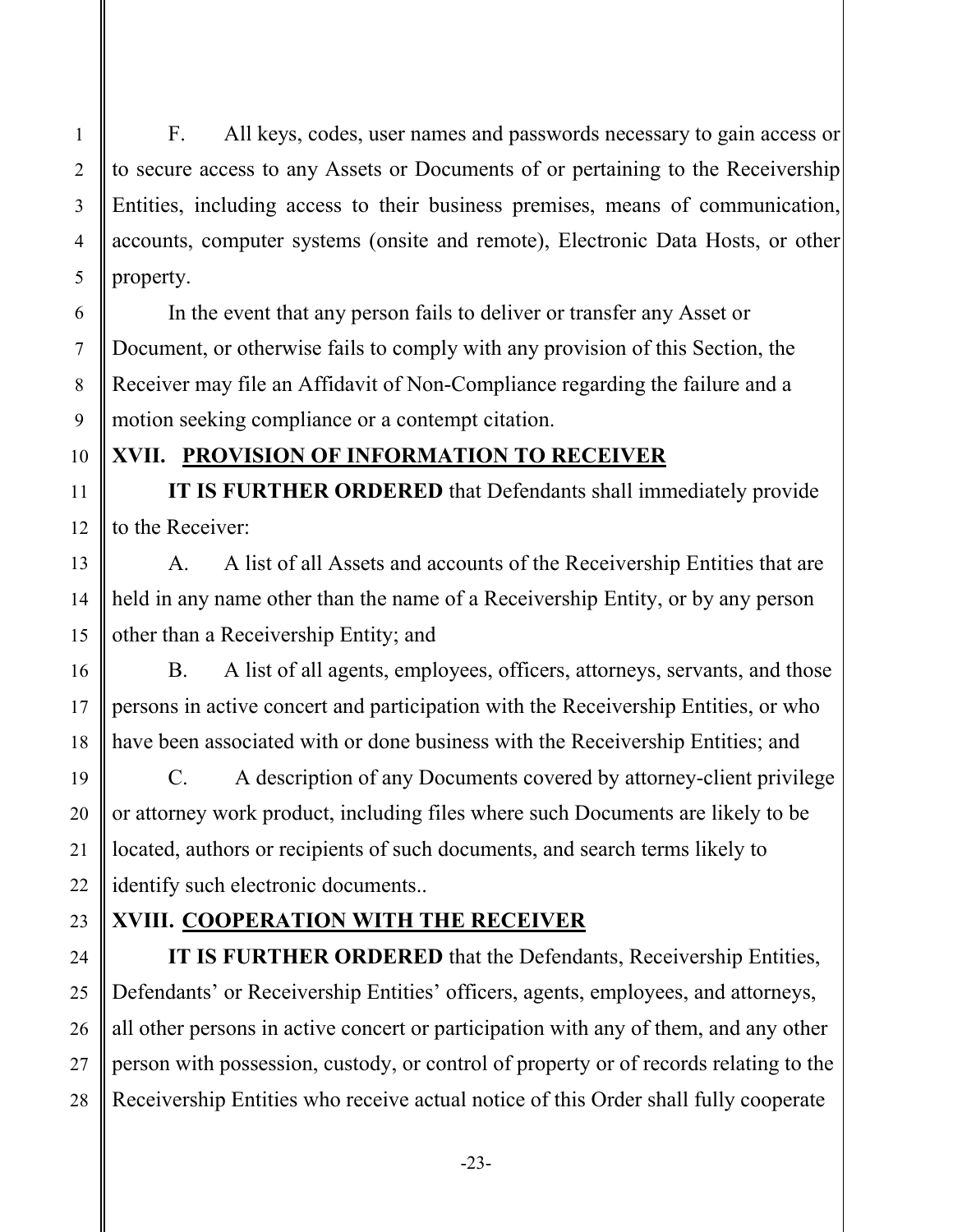accounts, computer systems (onsite and remote), Electronic Data Hosts, or other F. All keys, codes, user names and passwords necessary to gain access or to secure access to any Assets or Documents of or pertaining to the Receivership Entities, including access to their business premises, means of communication, property.

 6 7 8 In the event that any person fails to deliver or transfer any Asset or Document, or otherwise fails to comply with any provision of this Section, the Receiver may file an Affidavit of Non-Compliance regarding the failure and a motion seeking compliance or a contempt citation.

# **XVII. PROVISION OF INFORMATION TO RECEIVER**

**IT IS FURTHER ORDERED** that Defendants shall immediately provide to the Receiver:

A. A list of all Assets and accounts of the Receivership Entities that are held in any name other than the name of a Receivership Entity, or by any person other than a Receivership Entity; and

B. A list of all agents, employees, officers, attorneys, servants, and those persons in active concert and participation with the Receivership Entities, or who have been associated with or done business with the Receivership Entities; and

C. A description of any Documents covered by attorney-client privilege or attorney work product, including files where such Documents are likely to be located, authors or recipients of such documents, and search terms likely to identify such electronic documents..

# **XVIII. COOPERATION WITH THE RECEIVER**

**IT IS FURTHER ORDERED** that the Defendants, Receivership Entities, Defendants' or Receivership Entities' officers, agents, employees, and attorneys, all other persons in active concert or participation with any of them, and any other person with possession, custody, or control of property or of records relating to the Receivership Entities who receive actual notice of this Order shall fully cooperate

1

2

3

4

5

9

10

11

12

13

14

15

16

17

18

19

20

21

22

23

24

25

26

27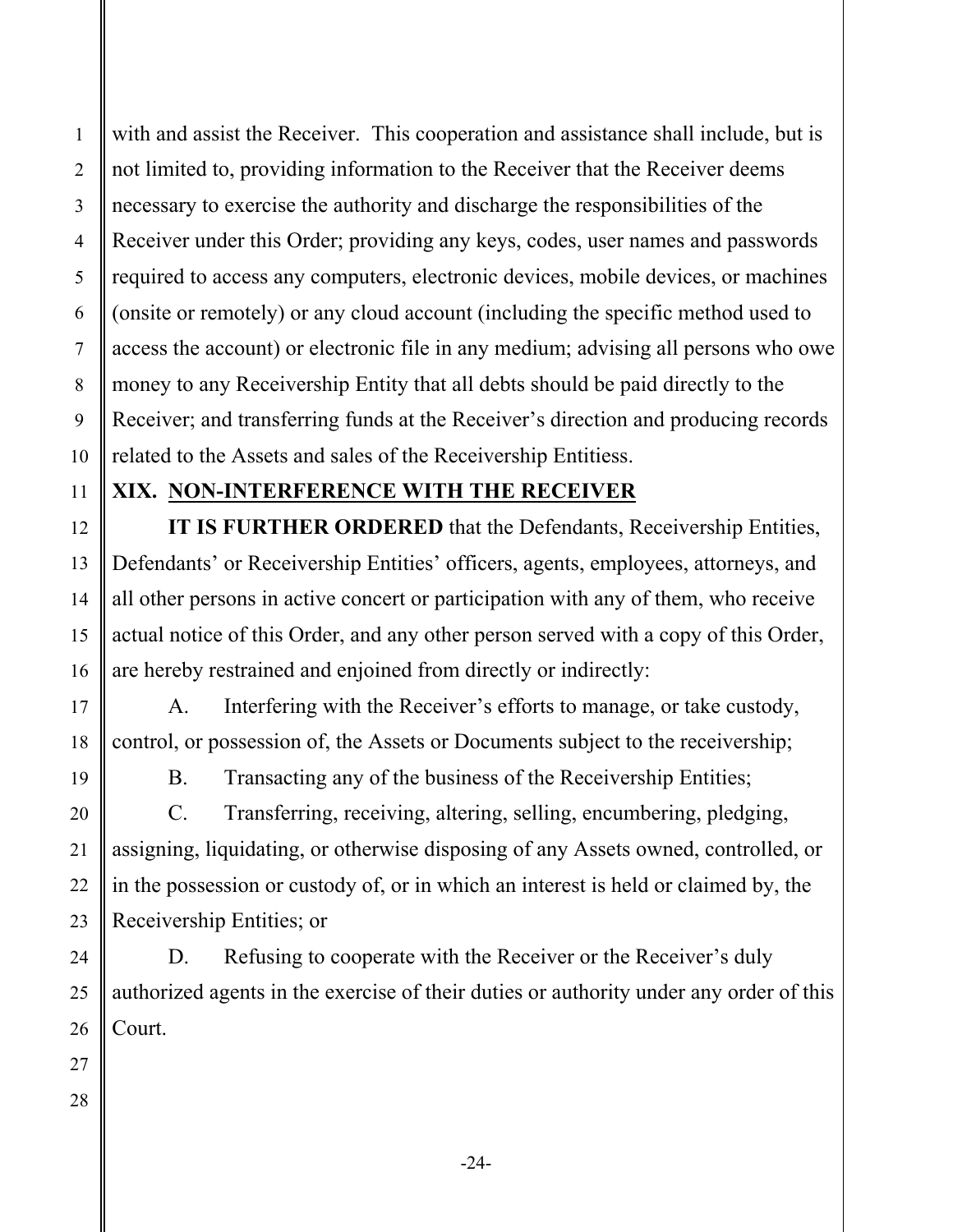1

2

with and assist the Receiver. This cooperation and assistance shall include, but is not limited to, providing information to the Receiver that the Receiver deems necessary to exercise the authority and discharge the responsibilities of the Receiver under this Order; providing any keys, codes, user names and passwords required to access any computers, electronic devices, mobile devices, or machines (onsite or remotely) or any cloud account (including the specific method used to access the account) or electronic file in any medium; advising all persons who owe money to any Receivership Entity that all debts should be paid directly to the Receiver; and transferring funds at the Receiver's direction and producing records related to the Assets and sales of the Receivership Entitiess.

### **XIX. NON-INTERFERENCE WITH THE RECEIVER**

**IT IS FURTHER ORDERED** that the Defendants, Receivership Entities, Defendants' or Receivership Entities' officers, agents, employees, attorneys, and all other persons in active concert or participation with any of them, who receive actual notice of this Order, and any other person served with a copy of this Order, are hereby restrained and enjoined from directly or indirectly:

A. Interfering with the Receiver's efforts to manage, or take custody, control, or possession of, the Assets or Documents subject to the receivership;

B. Transacting any of the business of the Receivership Entities;

C. Transferring, receiving, altering, selling, encumbering, pledging, assigning, liquidating, or otherwise disposing of any Assets owned, controlled, or in the possession or custody of, or in which an interest is held or claimed by, the Receivership Entities; or

D. Refusing to cooperate with the Receiver or the Receiver's duly authorized agents in the exercise of their duties or authority under any order of this Court.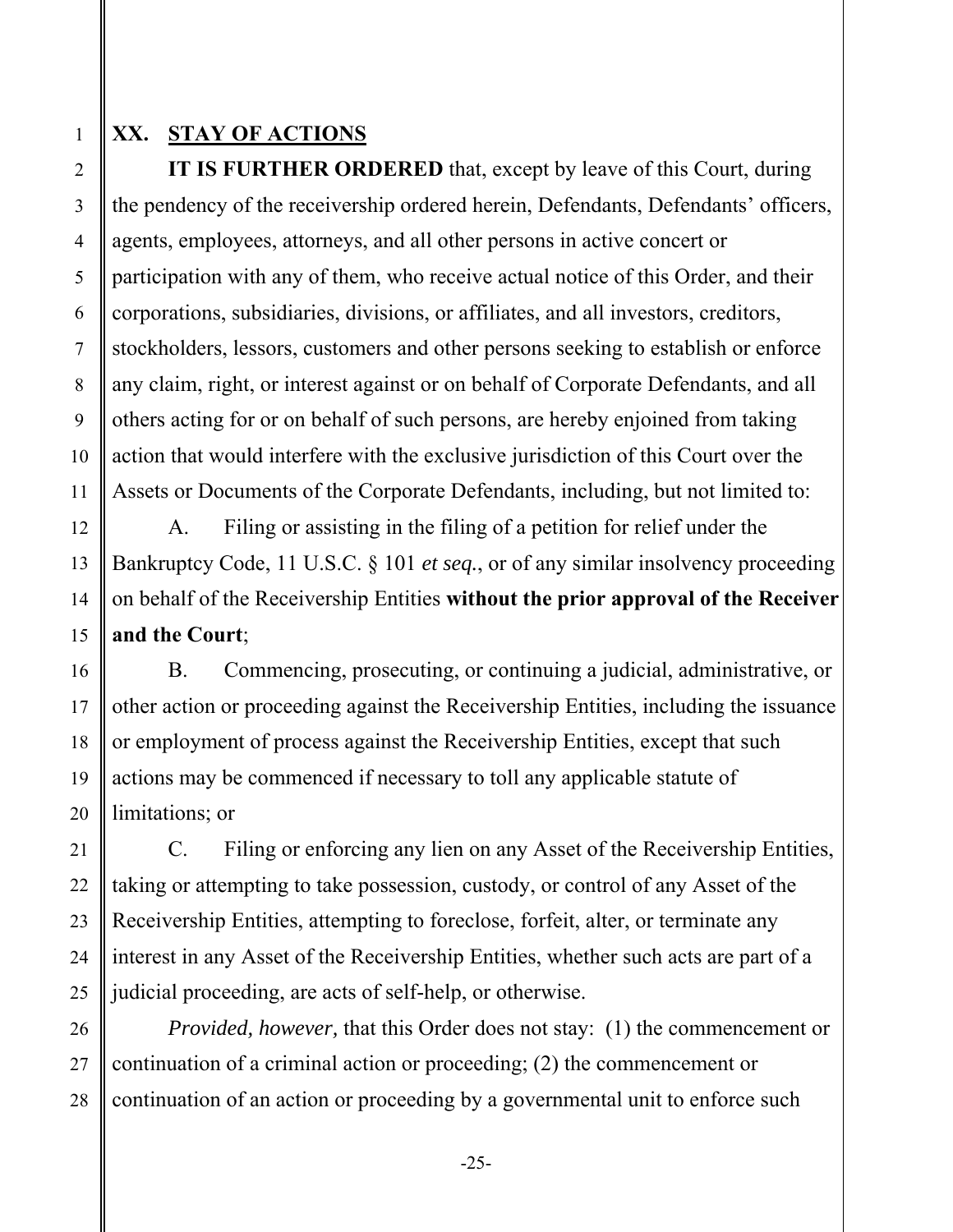#### **XX. STAY OF ACTIONS**

**IT IS FURTHER ORDERED** that, except by leave of this Court, during the pendency of the receivership ordered herein, Defendants, Defendants' officers, agents, employees, attorneys, and all other persons in active concert or participation with any of them, who receive actual notice of this Order, and their corporations, subsidiaries, divisions, or affiliates, and all investors, creditors, stockholders, lessors, customers and other persons seeking to establish or enforce any claim, right, or interest against or on behalf of Corporate Defendants, and all others acting for or on behalf of such persons, are hereby enjoined from taking action that would interfere with the exclusive jurisdiction of this Court over the Assets or Documents of the Corporate Defendants, including, but not limited to:

A. Filing or assisting in the filing of a petition for relief under the Bankruptcy Code, 11 U.S.C. § 101 *et seq.*, or of any similar insolvency proceeding on behalf of the Receivership Entities **without the prior approval of the Receiver and the Court**;

B. Commencing, prosecuting, or continuing a judicial, administrative, or other action or proceeding against the Receivership Entities, including the issuance or employment of process against the Receivership Entities, except that such actions may be commenced if necessary to toll any applicable statute of limitations; or

C. Filing or enforcing any lien on any Asset of the Receivership Entities, taking or attempting to take possession, custody, or control of any Asset of the Receivership Entities, attempting to foreclose, forfeit, alter, or terminate any interest in any Asset of the Receivership Entities, whether such acts are part of a judicial proceeding, are acts of self-help, or otherwise.

*Provided, however,* that this Order does not stay: (1) the commencement or continuation of a criminal action or proceeding; (2) the commencement or continuation of an action or proceeding by a governmental unit to enforce such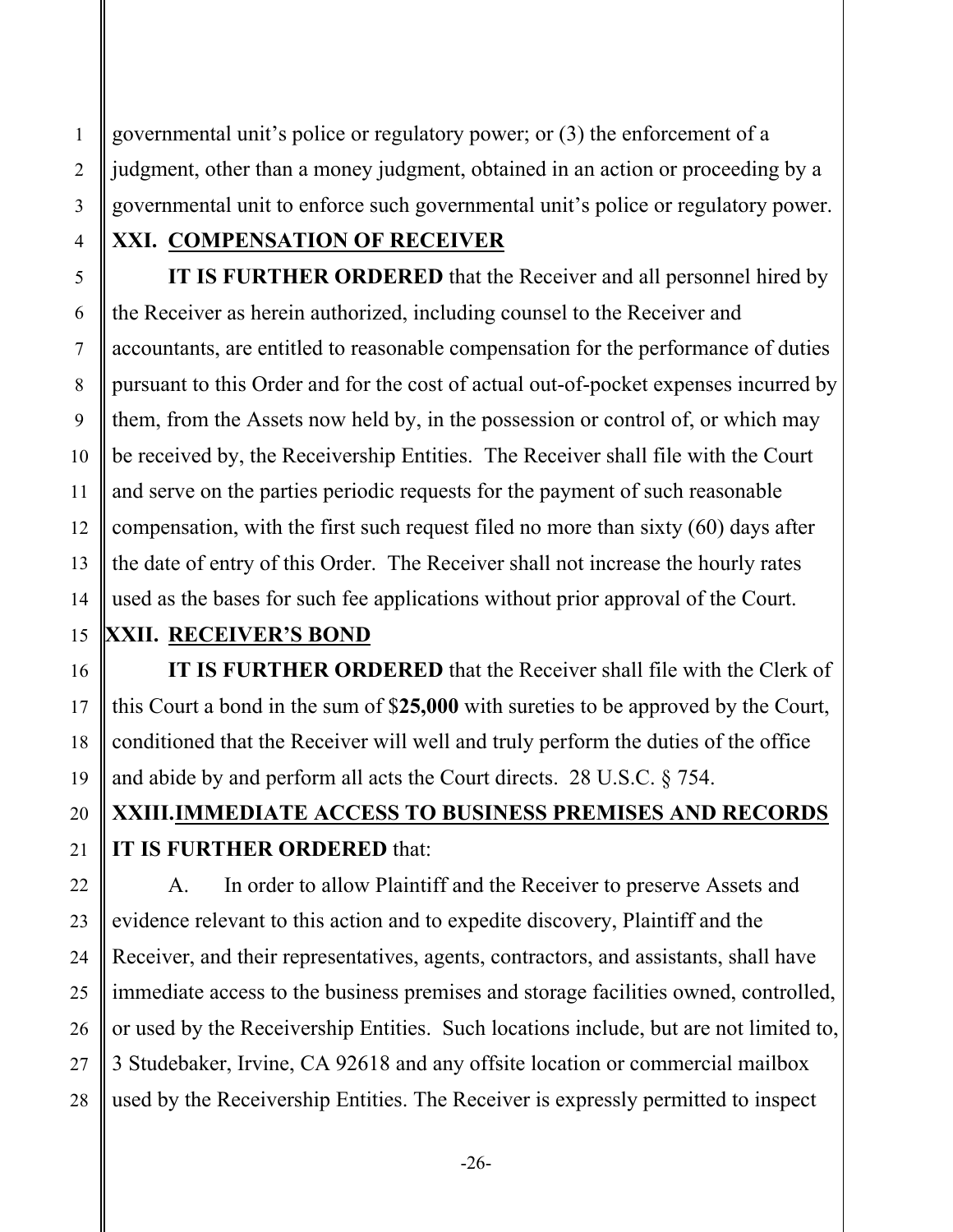governmental unit's police or regulatory power; or (3) the enforcement of a judgment, other than a money judgment, obtained in an action or proceeding by a governmental unit to enforce such governmental unit's police or regulatory power.

# **XXI. COMPENSATION OF RECEIVER**

**IT IS FURTHER ORDERED** that the Receiver and all personnel hired by the Receiver as herein authorized, including counsel to the Receiver and accountants, are entitled to reasonable compensation for the performance of duties pursuant to this Order and for the cost of actual out-of-pocket expenses incurred by them, from the Assets now held by, in the possession or control of, or which may be received by, the Receivership Entities. The Receiver shall file with the Court and serve on the parties periodic requests for the payment of such reasonable compensation, with the first such request filed no more than sixty (60) days after the date of entry of this Order. The Receiver shall not increase the hourly rates used as the bases for such fee applications without prior approval of the Court.

# **XXII. RECEIVER'S BOND**

**IT IS FURTHER ORDERED** that the Receiver shall file with the Clerk of this Court a bond in the sum of \$**25,000** with sureties to be approved by the Court, conditioned that the Receiver will well and truly perform the duties of the office and abide by and perform all acts the Court directs. 28 U.S.C. § 754.

# **XXIII.IMMEDIATE ACCESS TO BUSINESS PREMISES AND RECORDS IT IS FURTHER ORDERED** that:

A. In order to allow Plaintiff and the Receiver to preserve Assets and evidence relevant to this action and to expedite discovery, Plaintiff and the Receiver, and their representatives, agents, contractors, and assistants, shall have immediate access to the business premises and storage facilities owned, controlled, or used by the Receivership Entities. Such locations include, but are not limited to, 3 Studebaker, Irvine, CA 92618 and any offsite location or commercial mailbox used by the Receivership Entities. The Receiver is expressly permitted to inspect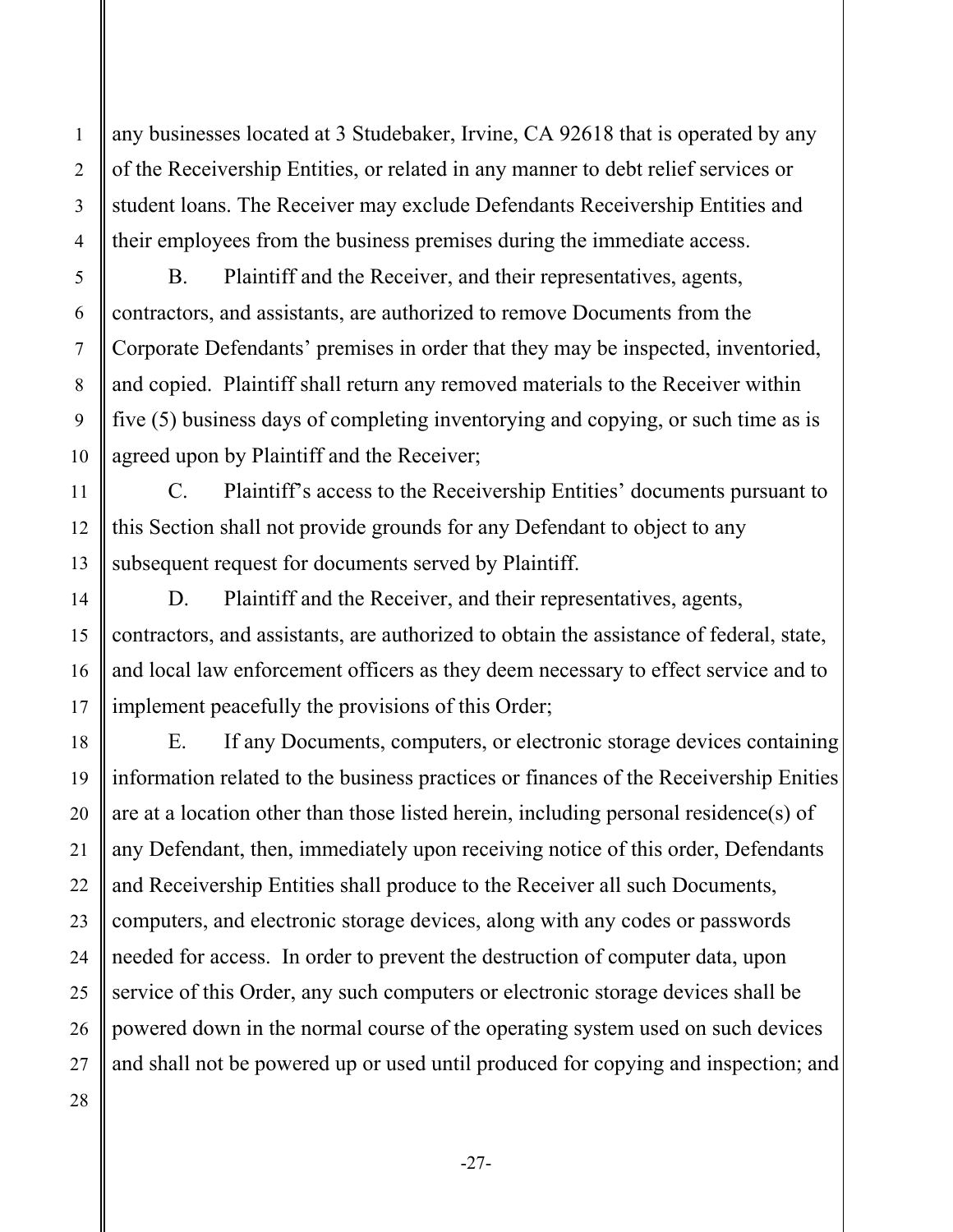any businesses located at 3 Studebaker, Irvine, CA 92618 that is operated by any of the Receivership Entities, or related in any manner to debt relief services or student loans. The Receiver may exclude Defendants Receivership Entities and their employees from the business premises during the immediate access.

B. Plaintiff and the Receiver, and their representatives, agents, contractors, and assistants, are authorized to remove Documents from the Corporate Defendants' premises in order that they may be inspected, inventoried, and copied. Plaintiff shall return any removed materials to the Receiver within five (5) business days of completing inventorying and copying, or such time as is agreed upon by Plaintiff and the Receiver;

C. Plaintiff's access to the Receivership Entities' documents pursuant to this Section shall not provide grounds for any Defendant to object to any subsequent request for documents served by Plaintiff.

D. Plaintiff and the Receiver, and their representatives, agents, contractors, and assistants, are authorized to obtain the assistance of federal, state, and local law enforcement officers as they deem necessary to effect service and to implement peacefully the provisions of this Order;

E. If any Documents, computers, or electronic storage devices containing information related to the business practices or finances of the Receivership Enities are at a location other than those listed herein, including personal residence(s) of any Defendant, then, immediately upon receiving notice of this order, Defendants and Receivership Entities shall produce to the Receiver all such Documents, computers, and electronic storage devices, along with any codes or passwords needed for access. In order to prevent the destruction of computer data, upon service of this Order, any such computers or electronic storage devices shall be powered down in the normal course of the operating system used on such devices and shall not be powered up or used until produced for copying and inspection; and

28

1

2

3

4

5

6

7

8

9

10

11

12

13

14

15

16

17

18

19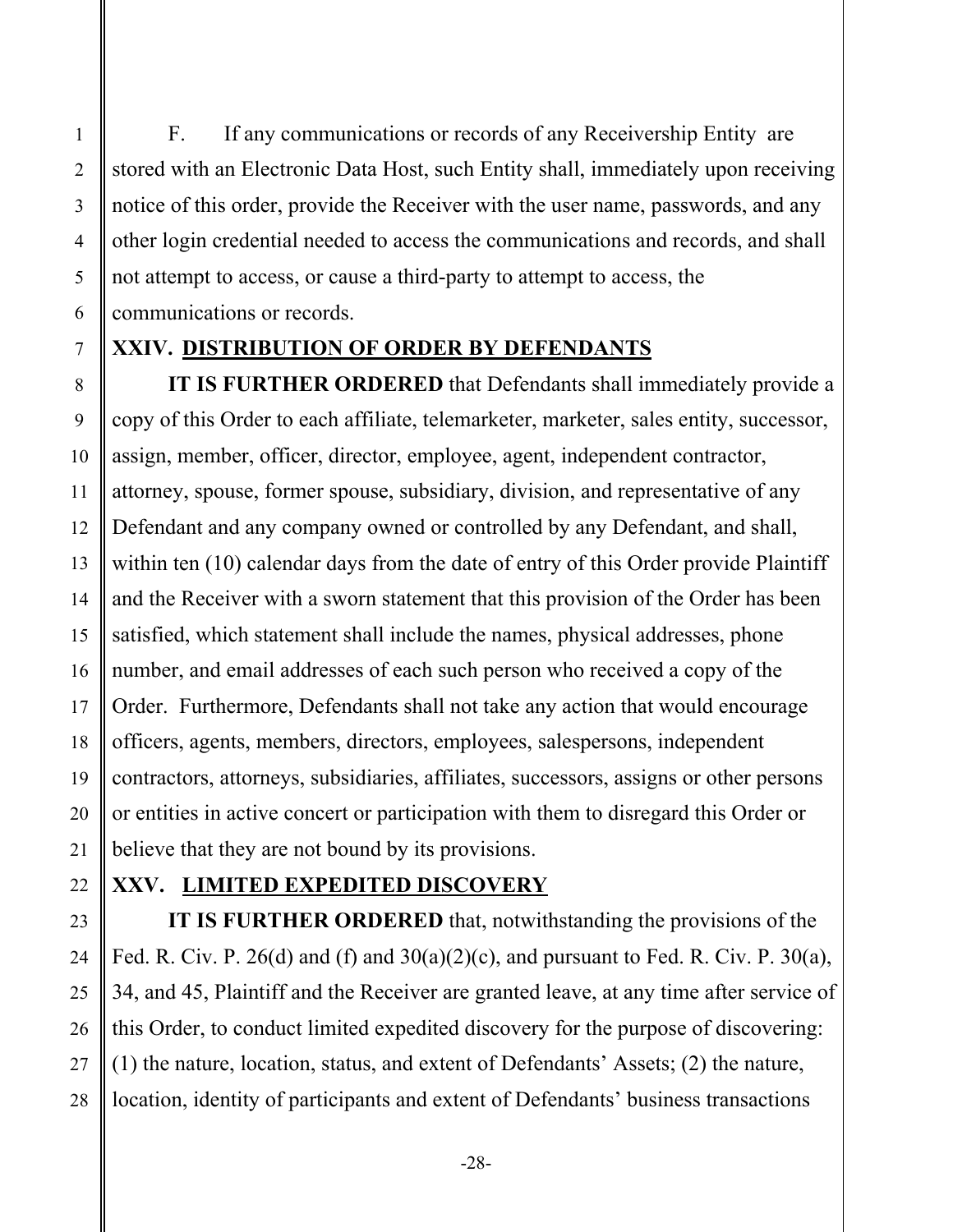F. If any communications or records of any Receivership Entity are stored with an Electronic Data Host, such Entity shall, immediately upon receiving notice of this order, provide the Receiver with the user name, passwords, and any other login credential needed to access the communications and records, and shall not attempt to access, or cause a third-party to attempt to access, the communications or records.

#### **XXIV. DISTRIBUTION OF ORDER BY DEFENDANTS**

**IT IS FURTHER ORDERED** that Defendants shall immediately provide a copy of this Order to each affiliate, telemarketer, marketer, sales entity, successor, assign, member, officer, director, employee, agent, independent contractor, attorney, spouse, former spouse, subsidiary, division, and representative of any Defendant and any company owned or controlled by any Defendant, and shall, within ten (10) calendar days from the date of entry of this Order provide Plaintiff and the Receiver with a sworn statement that this provision of the Order has been satisfied, which statement shall include the names, physical addresses, phone number, and email addresses of each such person who received a copy of the Order. Furthermore, Defendants shall not take any action that would encourage officers, agents, members, directors, employees, salespersons, independent contractors, attorneys, subsidiaries, affiliates, successors, assigns or other persons or entities in active concert or participation with them to disregard this Order or believe that they are not bound by its provisions.

#### **XXV. LIMITED EXPEDITED DISCOVERY**

**IT IS FURTHER ORDERED** that, notwithstanding the provisions of the Fed. R. Civ. P. 26(d) and (f) and  $30(a)(2)(c)$ , and pursuant to Fed. R. Civ. P. 30(a), 34, and 45, Plaintiff and the Receiver are granted leave, at any time after service of this Order, to conduct limited expedited discovery for the purpose of discovering: (1) the nature, location, status, and extent of Defendants' Assets; (2) the nature, location, identity of participants and extent of Defendants' business transactions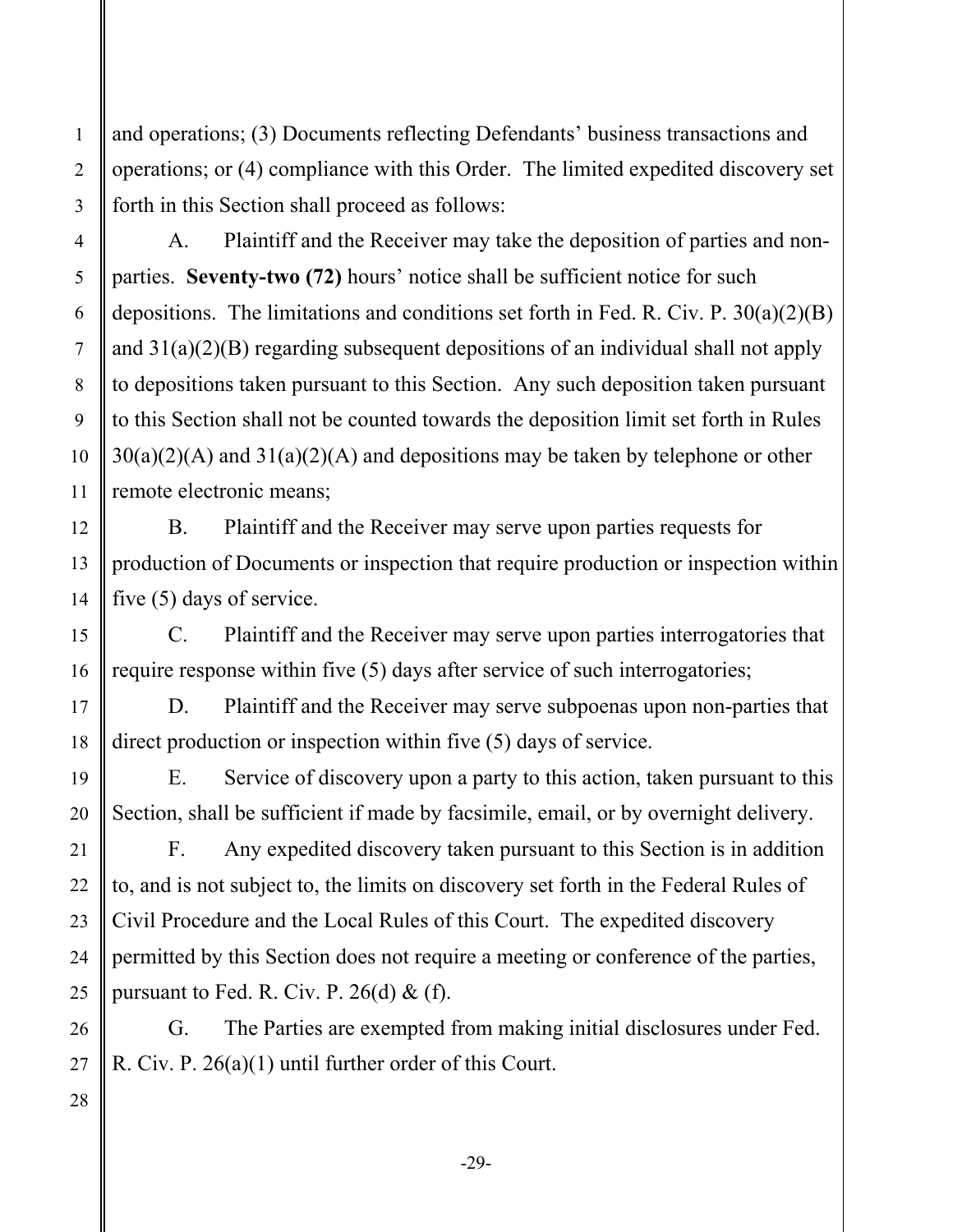and operations; (3) Documents reflecting Defendants' business transactions and operations; or (4) compliance with this Order. The limited expedited discovery set forth in this Section shall proceed as follows:

A. Plaintiff and the Receiver may take the deposition of parties and nonparties. **Seventy-two (72)** hours' notice shall be sufficient notice for such depositions. The limitations and conditions set forth in Fed. R. Civ. P. 30(a)(2)(B) and  $31(a)(2)(B)$  regarding subsequent depositions of an individual shall not apply to depositions taken pursuant to this Section. Any such deposition taken pursuant to this Section shall not be counted towards the deposition limit set forth in Rules  $30(a)(2)(A)$  and  $31(a)(2)(A)$  and depositions may be taken by telephone or other remote electronic means;

B. Plaintiff and the Receiver may serve upon parties requests for production of Documents or inspection that require production or inspection within five (5) days of service.

C. Plaintiff and the Receiver may serve upon parties interrogatories that require response within five (5) days after service of such interrogatories;

D. Plaintiff and the Receiver may serve subpoenas upon non-parties that direct production or inspection within five (5) days of service.

E. Service of discovery upon a party to this action, taken pursuant to this Section, shall be sufficient if made by facsimile, email, or by overnight delivery.

F. Any expedited discovery taken pursuant to this Section is in addition to, and is not subject to, the limits on discovery set forth in the Federal Rules of Civil Procedure and the Local Rules of this Court. The expedited discovery permitted by this Section does not require a meeting or conference of the parties, pursuant to Fed. R. Civ. P.  $26(d)$  & (f).

G. The Parties are exempted from making initial disclosures under Fed. R. Civ. P. 26(a)(1) until further order of this Court.

1

2

3

4

5

6

7

8

9

10

11

12

13

14

15

16

17

18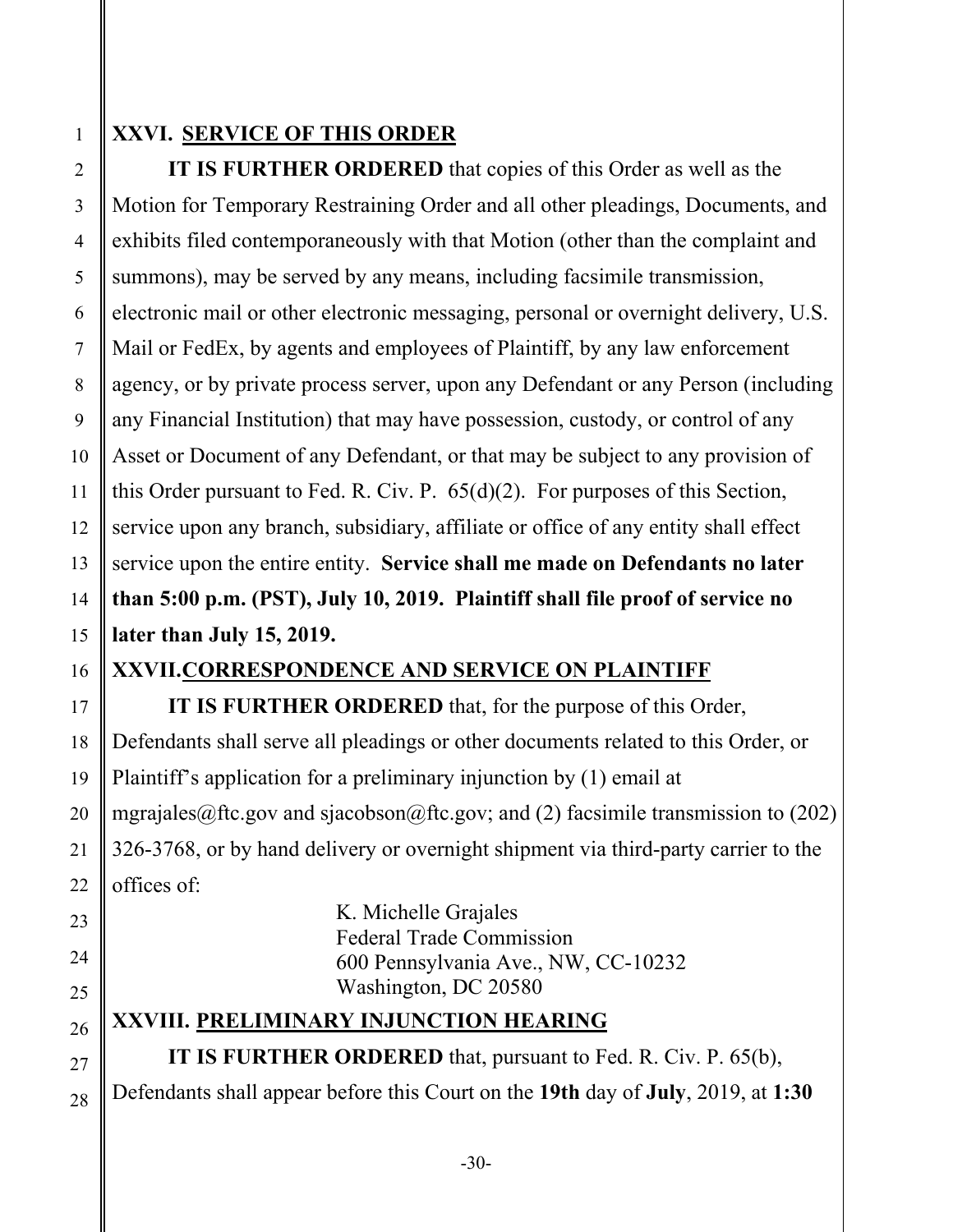1

#### **XXVI. SERVICE OF THIS ORDER**

**IT IS FURTHER ORDERED** that copies of this Order as well as the Motion for Temporary Restraining Order and all other pleadings, Documents, and exhibits filed contemporaneously with that Motion (other than the complaint and summons), may be served by any means, including facsimile transmission, electronic mail or other electronic messaging, personal or overnight delivery, U.S. Mail or FedEx, by agents and employees of Plaintiff, by any law enforcement agency, or by private process server, upon any Defendant or any Person (including any Financial Institution) that may have possession, custody, or control of any Asset or Document of any Defendant, or that may be subject to any provision of this Order pursuant to Fed. R. Civ. P. 65(d)(2). For purposes of this Section, service upon any branch, subsidiary, affiliate or office of any entity shall effect service upon the entire entity. **Service shall me made on Defendants no later than 5:00 p.m. (PST), July 10, 2019. Plaintiff shall file proof of service no later than July 15, 2019.**

## **XXVII.CORRESPONDENCE AND SERVICE ON PLAINTIFF**

**IT IS FURTHER ORDERED** that, for the purpose of this Order, Defendants shall serve all pleadings or other documents related to this Order, or Plaintiff's application for a preliminary injunction by (1) email at mgrajales@ftc.gov and sjacobson@ftc.gov; and (2) facsimile transmission to (202) 326-3768, or by hand delivery or overnight shipment via third-party carrier to the offices of:

> K. Michelle Grajales Federal Trade Commission 600 Pennsylvania Ave., NW, CC-10232 Washington, DC 20580

#### **XXVIII. PRELIMINARY INJUNCTION HEARING**

**IT IS FURTHER ORDERED** that, pursuant to Fed. R. Civ. P. 65(b), Defendants shall appear before this Court on the **19th** day of **July**, 2019, at **1:30**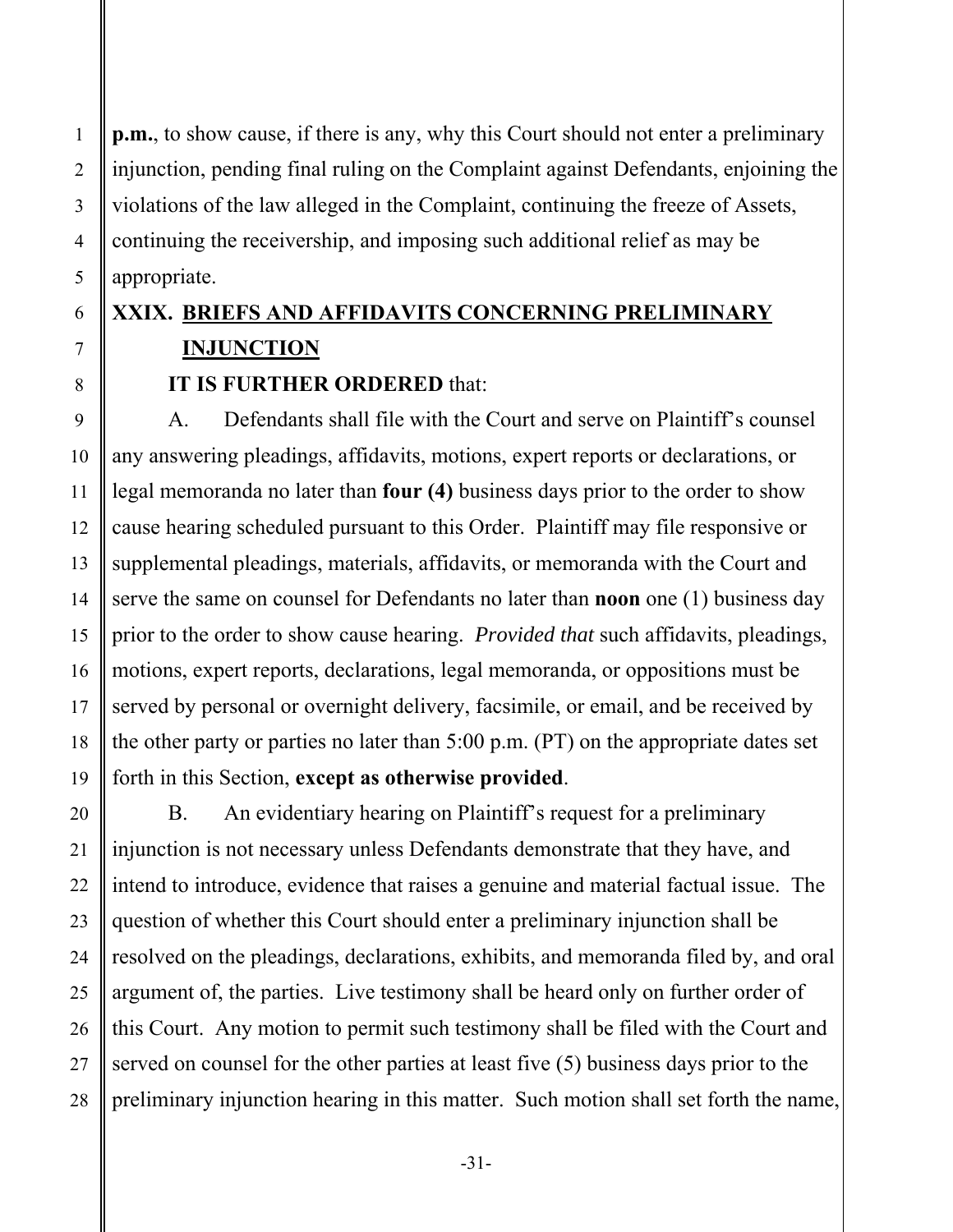**p.m.**, to show cause, if there is any, why this Court should not enter a preliminary injunction, pending final ruling on the Complaint against Defendants, enjoining the violations of the law alleged in the Complaint, continuing the freeze of Assets, continuing the receivership, and imposing such additional relief as may be appropriate.

# **XXIX. BRIEFS AND AFFIDAVITS CONCERNING PRELIMINARY INJUNCTION**

**IT IS FURTHER ORDERED** that:

A. Defendants shall file with the Court and serve on Plaintiff's counsel any answering pleadings, affidavits, motions, expert reports or declarations, or legal memoranda no later than **four (4)** business days prior to the order to show cause hearing scheduled pursuant to this Order. Plaintiff may file responsive or supplemental pleadings, materials, affidavits, or memoranda with the Court and serve the same on counsel for Defendants no later than **noon** one (1) business day prior to the order to show cause hearing. *Provided that* such affidavits, pleadings, motions, expert reports, declarations, legal memoranda, or oppositions must be served by personal or overnight delivery, facsimile, or email, and be received by the other party or parties no later than 5:00 p.m. (PT) on the appropriate dates set forth in this Section, **except as otherwise provided**.

B. An evidentiary hearing on Plaintiff's request for a preliminary injunction is not necessary unless Defendants demonstrate that they have, and intend to introduce, evidence that raises a genuine and material factual issue. The question of whether this Court should enter a preliminary injunction shall be resolved on the pleadings, declarations, exhibits, and memoranda filed by, and oral argument of, the parties. Live testimony shall be heard only on further order of this Court. Any motion to permit such testimony shall be filed with the Court and served on counsel for the other parties at least five (5) business days prior to the preliminary injunction hearing in this matter. Such motion shall set forth the name,